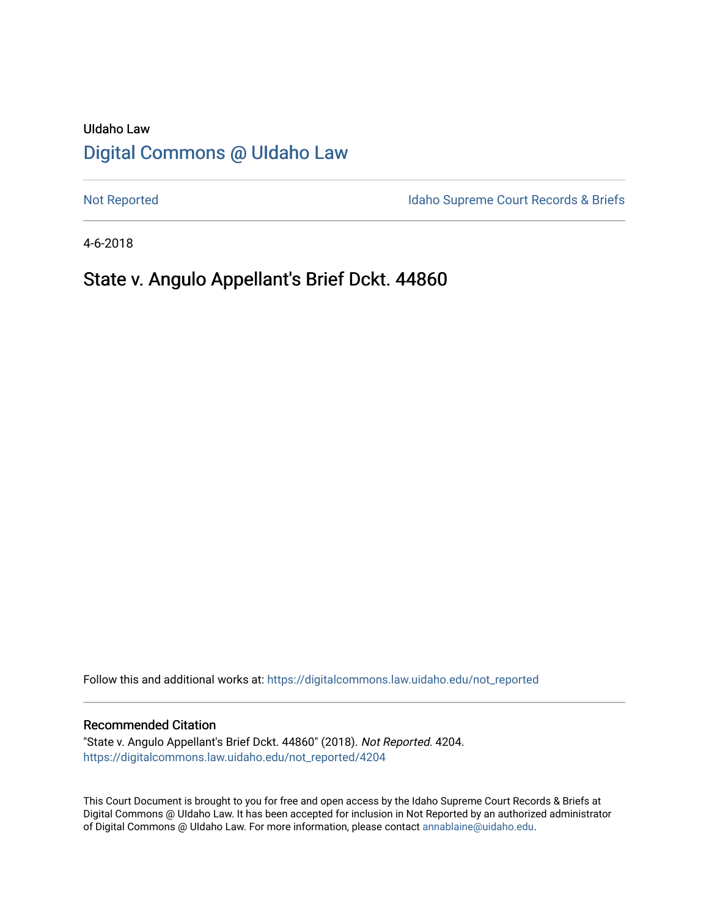# UIdaho Law [Digital Commons @ UIdaho Law](https://digitalcommons.law.uidaho.edu/)

[Not Reported](https://digitalcommons.law.uidaho.edu/not_reported) **Idaho Supreme Court Records & Briefs** 

4-6-2018

# State v. Angulo Appellant's Brief Dckt. 44860

Follow this and additional works at: [https://digitalcommons.law.uidaho.edu/not\\_reported](https://digitalcommons.law.uidaho.edu/not_reported?utm_source=digitalcommons.law.uidaho.edu%2Fnot_reported%2F4204&utm_medium=PDF&utm_campaign=PDFCoverPages) 

#### Recommended Citation

"State v. Angulo Appellant's Brief Dckt. 44860" (2018). Not Reported. 4204. [https://digitalcommons.law.uidaho.edu/not\\_reported/4204](https://digitalcommons.law.uidaho.edu/not_reported/4204?utm_source=digitalcommons.law.uidaho.edu%2Fnot_reported%2F4204&utm_medium=PDF&utm_campaign=PDFCoverPages)

This Court Document is brought to you for free and open access by the Idaho Supreme Court Records & Briefs at Digital Commons @ UIdaho Law. It has been accepted for inclusion in Not Reported by an authorized administrator of Digital Commons @ UIdaho Law. For more information, please contact [annablaine@uidaho.edu](mailto:annablaine@uidaho.edu).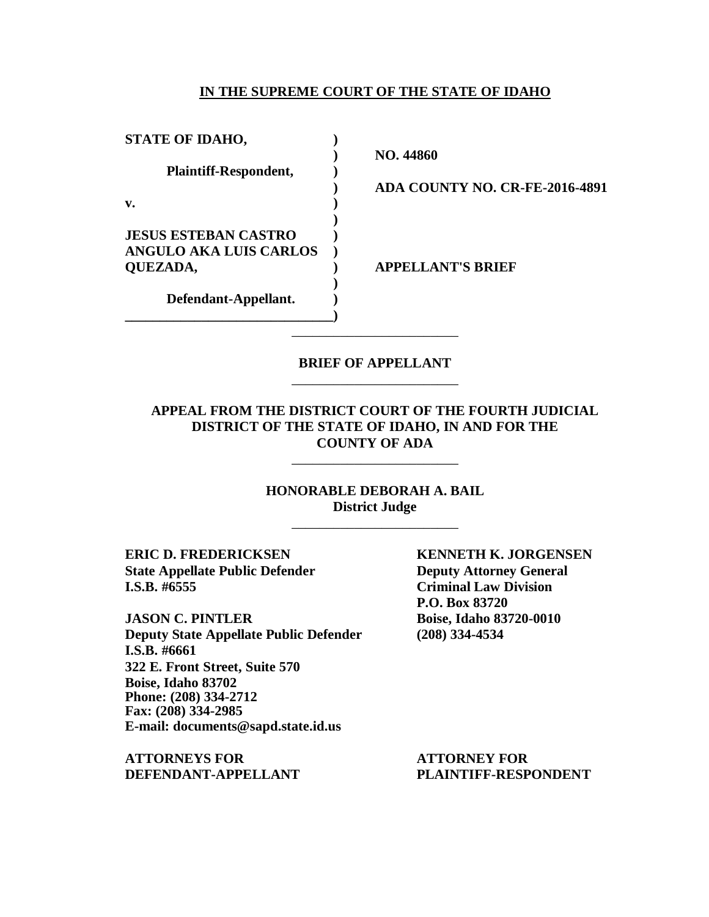#### **IN THE SUPREME COURT OF THE STATE OF IDAHO**

| <b>STATE OF IDAHO,</b>        |                                |
|-------------------------------|--------------------------------|
| Plaintiff-Respondent,         | NO. 44860                      |
|                               | ADA COUNTY NO. CR-FE-2016-4891 |
| v.                            |                                |
|                               |                                |
| <b>JESUS ESTEBAN CASTRO</b>   |                                |
| <b>ANGULO AKA LUIS CARLOS</b> |                                |
| QUEZADA,                      | <b>APPELLANT'S BRIEF</b>       |
|                               |                                |
| Defendant-Appellant.          |                                |
|                               |                                |

# **BRIEF OF APPELLANT** \_\_\_\_\_\_\_\_\_\_\_\_\_\_\_\_\_\_\_\_\_\_\_\_

\_\_\_\_\_\_\_\_\_\_\_\_\_\_\_\_\_\_\_\_\_\_\_\_

**APPEAL FROM THE DISTRICT COURT OF THE FOURTH JUDICIAL DISTRICT OF THE STATE OF IDAHO, IN AND FOR THE COUNTY OF ADA**

\_\_\_\_\_\_\_\_\_\_\_\_\_\_\_\_\_\_\_\_\_\_\_\_

**HONORABLE DEBORAH A. BAIL District Judge**

\_\_\_\_\_\_\_\_\_\_\_\_\_\_\_\_\_\_\_\_\_\_\_\_

**ERIC D. FREDERICKSEN KENNETH K. JORGENSEN State Appellate Public Defender Deputy Attorney General I.S.B. #6555 Criminal Law Division**

**JASON C. PINTLER Boise, Idaho 83720-0010 Deputy State Appellate Public Defender (208) 334-4534 I.S.B. #6661 322 E. Front Street, Suite 570 Boise, Idaho 83702 Phone: (208) 334-2712 Fax: (208) 334-2985 E-mail: documents@sapd.state.id.us**

**ATTORNEYS FOR ATTORNEY FOR DEFENDANT-APPELLANT PLAINTIFF-RESPONDENT**

**P.O. Box 83720**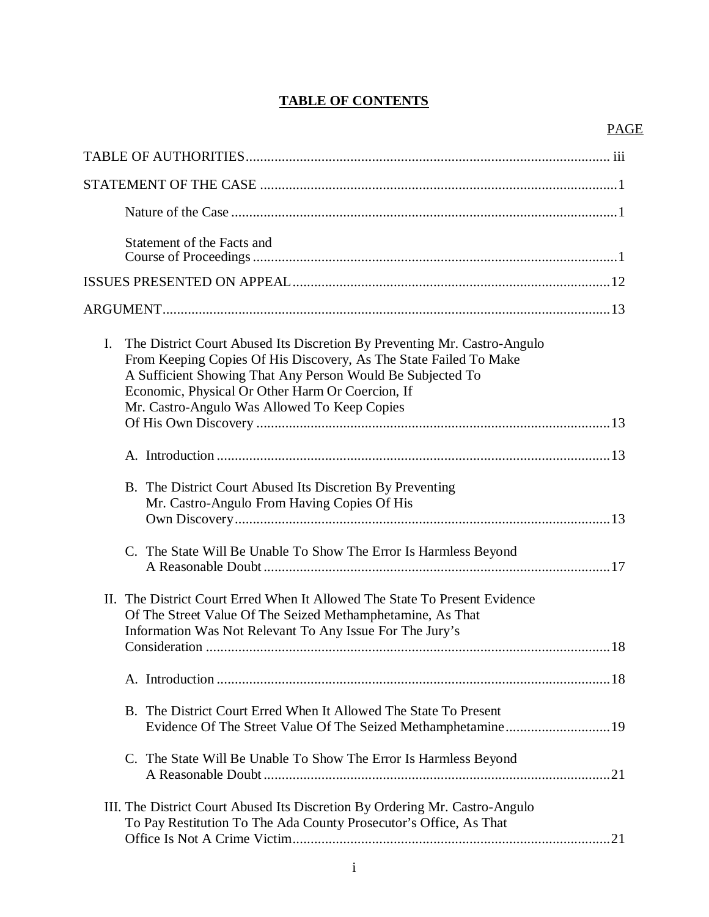# **TABLE OF CONTENTS**

# PAGE

| Statement of the Facts and                                                                                                                                                                                                                                                                                            |  |
|-----------------------------------------------------------------------------------------------------------------------------------------------------------------------------------------------------------------------------------------------------------------------------------------------------------------------|--|
|                                                                                                                                                                                                                                                                                                                       |  |
|                                                                                                                                                                                                                                                                                                                       |  |
| I.<br>The District Court Abused Its Discretion By Preventing Mr. Castro-Angulo<br>From Keeping Copies Of His Discovery, As The State Failed To Make<br>A Sufficient Showing That Any Person Would Be Subjected To<br>Economic, Physical Or Other Harm Or Coercion, If<br>Mr. Castro-Angulo Was Allowed To Keep Copies |  |
|                                                                                                                                                                                                                                                                                                                       |  |
|                                                                                                                                                                                                                                                                                                                       |  |
| B. The District Court Abused Its Discretion By Preventing<br>Mr. Castro-Angulo From Having Copies Of His                                                                                                                                                                                                              |  |
| C. The State Will Be Unable To Show The Error Is Harmless Beyond                                                                                                                                                                                                                                                      |  |
| II. The District Court Erred When It Allowed The State To Present Evidence<br>Of The Street Value Of The Seized Methamphetamine, As That<br>Information Was Not Relevant To Any Issue For The Jury's                                                                                                                  |  |
|                                                                                                                                                                                                                                                                                                                       |  |
| B. The District Court Erred When It Allowed The State To Present<br>Evidence Of The Street Value Of The Seized Methamphetamine19                                                                                                                                                                                      |  |
| C. The State Will Be Unable To Show The Error Is Harmless Beyond                                                                                                                                                                                                                                                      |  |
| III. The District Court Abused Its Discretion By Ordering Mr. Castro-Angulo<br>To Pay Restitution To The Ada County Prosecutor's Office, As That                                                                                                                                                                      |  |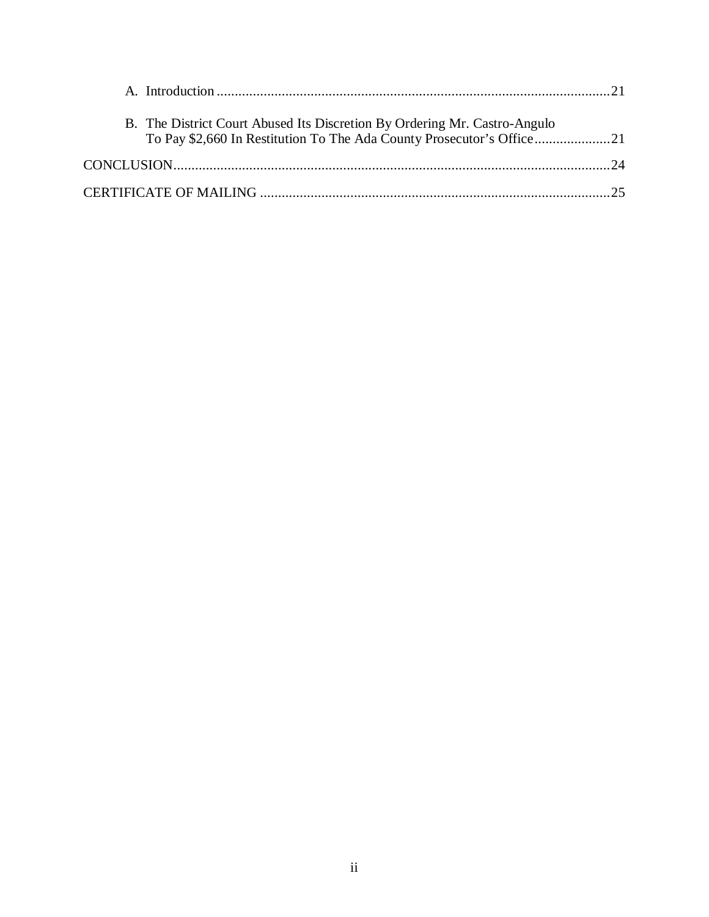| B. The District Court Abused Its Discretion By Ordering Mr. Castro-Angulo |  |
|---------------------------------------------------------------------------|--|
|                                                                           |  |
|                                                                           |  |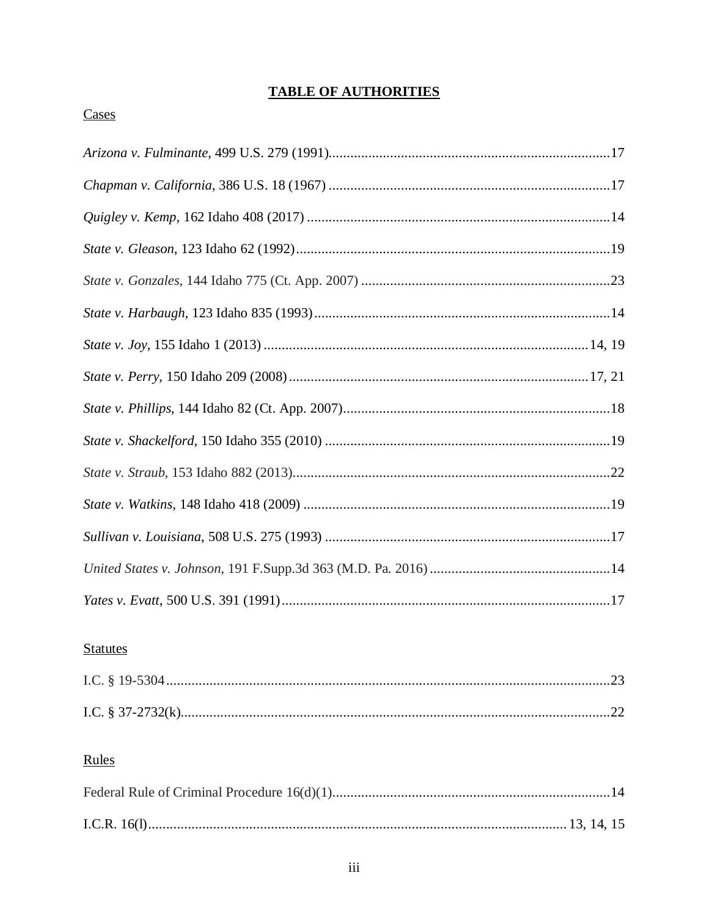# **TABLE OF AUTHORITIES**

# Cases

# **Statutes**

# Rules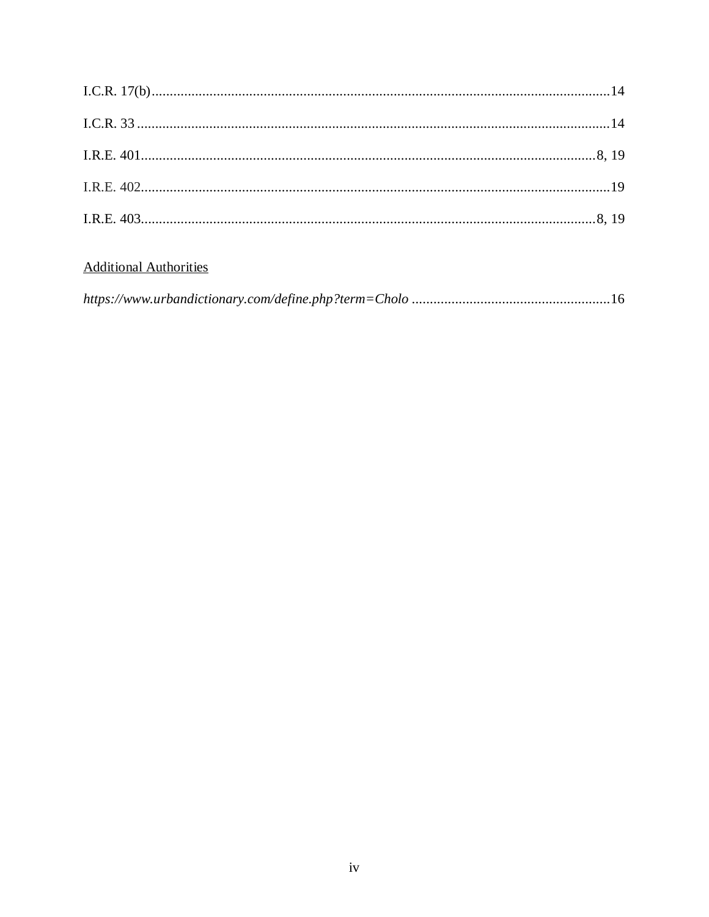# **Additional Authorities**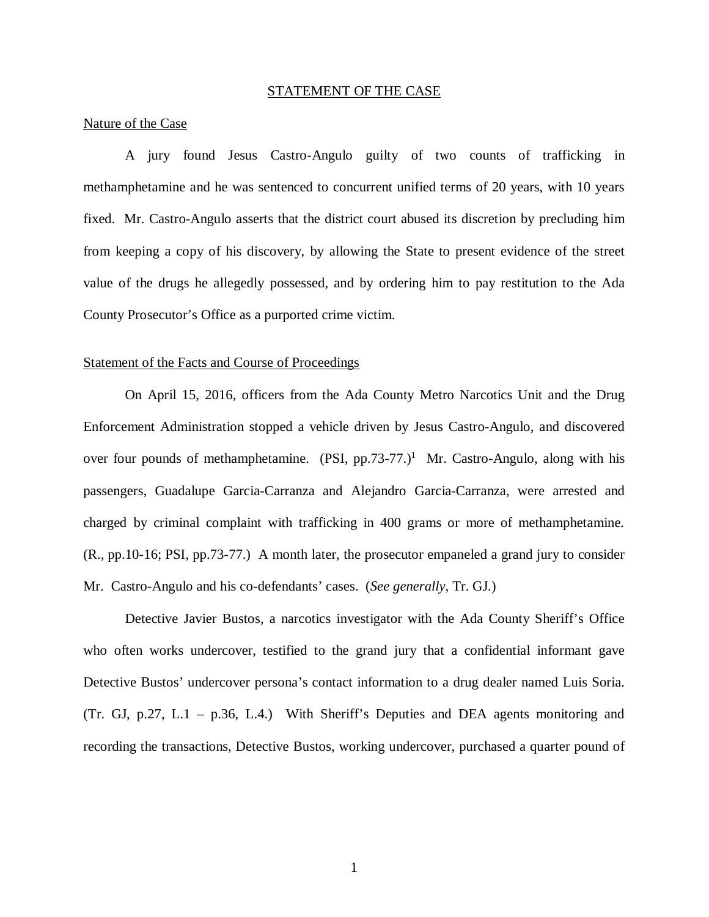#### STATEMENT OF THE CASE

#### Nature of the Case

A jury found Jesus Castro-Angulo guilty of two counts of trafficking in methamphetamine and he was sentenced to concurrent unified terms of 20 years, with 10 years fixed. Mr. Castro-Angulo asserts that the district court abused its discretion by precluding him from keeping a copy of his discovery, by allowing the State to present evidence of the street value of the drugs he allegedly possessed, and by ordering him to pay restitution to the Ada County Prosecutor's Office as a purported crime victim.

#### Statement of the Facts and Course of Proceedings

On April 15, 2016, officers from the Ada County Metro Narcotics Unit and the Drug Enforcement Administration stopped a vehicle driven by Jesus Castro-Angulo, and discovered over four pounds of methamphetamine.  $(PSI, pp.73-77.)^1$  $(PSI, pp.73-77.)^1$  Mr. Castro-Angulo, along with his passengers, Guadalupe Garcia-Carranza and Alejandro Garcia-Carranza, were arrested and charged by criminal complaint with trafficking in 400 grams or more of methamphetamine. (R., pp.10-16; PSI, pp.73-77.) A month later, the prosecutor empaneled a grand jury to consider Mr. Castro-Angulo and his co-defendants' cases. (*See generally*, Tr. GJ.)

<span id="page-6-0"></span>Detective Javier Bustos, a narcotics investigator with the Ada County Sheriff's Office who often works undercover, testified to the grand jury that a confidential informant gave Detective Bustos' undercover persona's contact information to a drug dealer named Luis Soria. (Tr. GJ, p.27, L.1 – p.36, L.4.) With Sheriff's Deputies and DEA agents monitoring and recording the transactions, Detective Bustos, working undercover, purchased a quarter pound of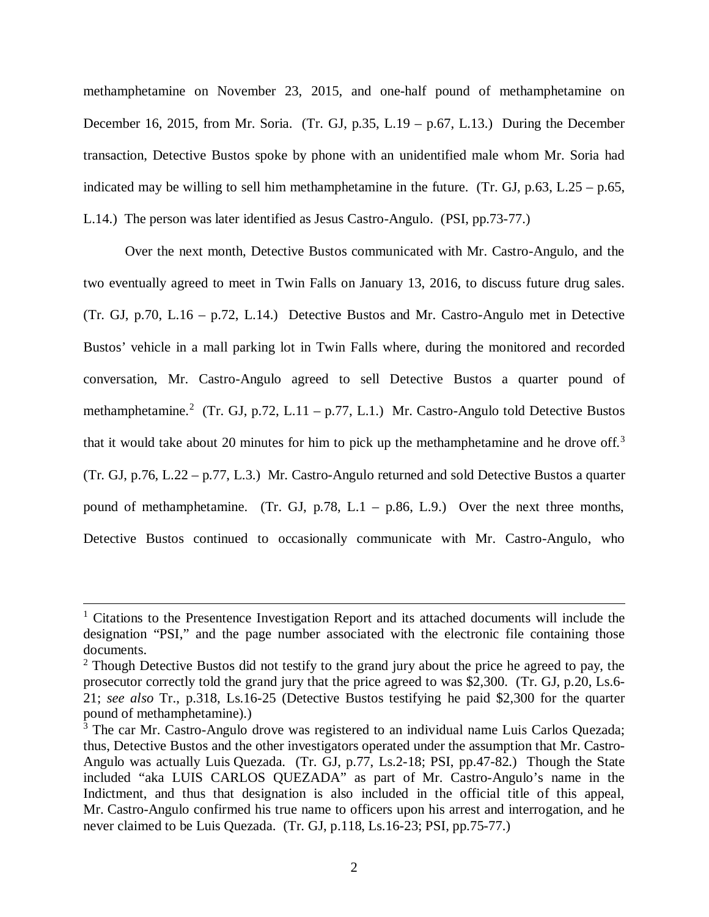methamphetamine on November 23, 2015, and one-half pound of methamphetamine on December 16, 2015, from Mr. Soria. (Tr. GJ, p.35, L.19 – p.67, L.13.) During the December transaction, Detective Bustos spoke by phone with an unidentified male whom Mr. Soria had indicated may be willing to sell him methamphetamine in the future. (Tr. GJ,  $p.63$ , L.25 –  $p.65$ , L.14.) The person was later identified as Jesus Castro-Angulo. (PSI, pp.73-77.)

Over the next month, Detective Bustos communicated with Mr. Castro-Angulo, and the two eventually agreed to meet in Twin Falls on January 13, 2016, to discuss future drug sales. (Tr. GJ, p.70, L.16 – p.72, L.14.) Detective Bustos and Mr. Castro-Angulo met in Detective Bustos' vehicle in a mall parking lot in Twin Falls where, during the monitored and recorded conversation, Mr. Castro-Angulo agreed to sell Detective Bustos a quarter pound of methamphetamine.<sup>[2](#page-7-0)</sup> (Tr. GJ, p.72, L.11 – p.77, L.1.) Mr. Castro-Angulo told Detective Bustos that it would take about 20 minutes for him to pick up the methamphetamine and he drove off.<sup>[3](#page-7-1)</sup> (Tr. GJ, p.76, L.22 – p.77, L.3.) Mr. Castro-Angulo returned and sold Detective Bustos a quarter pound of methamphetamine. (Tr. GJ, p.78, L.1 – p.86, L.9.) Over the next three months, Detective Bustos continued to occasionally communicate with Mr. Castro-Angulo, who

<sup>&</sup>lt;sup>1</sup> Citations to the Presentence Investigation Report and its attached documents will include the designation "PSI," and the page number associated with the electronic file containing those documents.

<span id="page-7-0"></span><sup>&</sup>lt;sup>2</sup> Though Detective Bustos did not testify to the grand jury about the price he agreed to pay, the prosecutor correctly told the grand jury that the price agreed to was \$2,300. (Tr. GJ, p.20, Ls.6- 21; *see also* Tr., p.318, Ls.16-25 (Detective Bustos testifying he paid \$2,300 for the quarter pound of methamphetamine).)

<span id="page-7-1"></span><sup>&</sup>lt;sup>3</sup> The car Mr. Castro-Angulo drove was registered to an individual name Luis Carlos Quezada; thus, Detective Bustos and the other investigators operated under the assumption that Mr. Castro-Angulo was actually Luis Quezada. (Tr. GJ, p.77, Ls.2-18; PSI, pp.47-82.) Though the State included "aka LUIS CARLOS QUEZADA" as part of Mr. Castro-Angulo's name in the Indictment, and thus that designation is also included in the official title of this appeal, Mr. Castro-Angulo confirmed his true name to officers upon his arrest and interrogation, and he never claimed to be Luis Quezada. (Tr. GJ, p.118, Ls.16-23; PSI, pp.75-77.)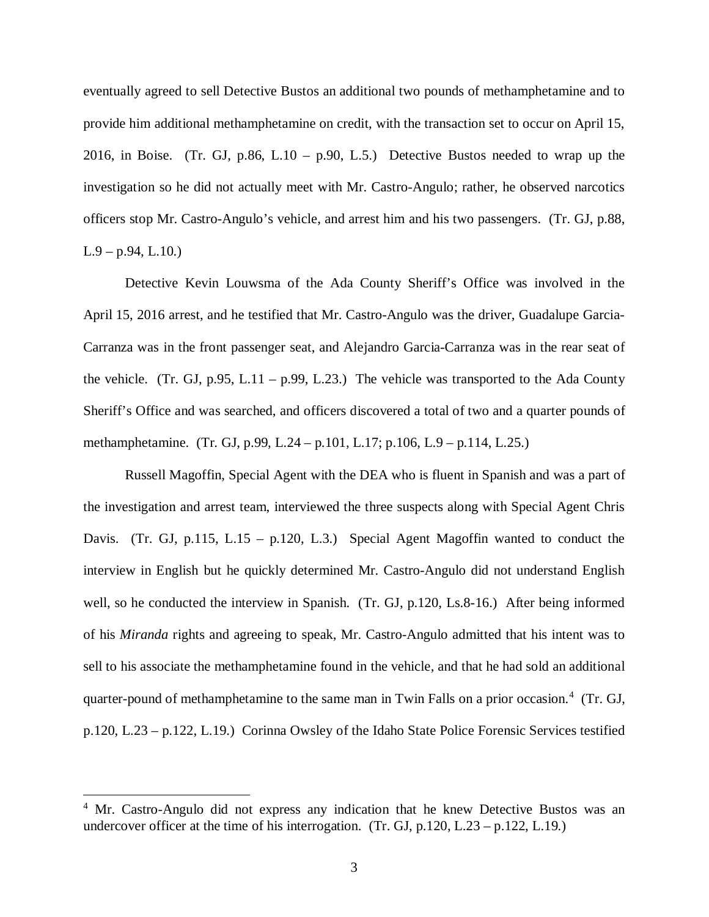eventually agreed to sell Detective Bustos an additional two pounds of methamphetamine and to provide him additional methamphetamine on credit, with the transaction set to occur on April 15, 2016, in Boise. (Tr. GJ, p.86, L.10 – p.90, L.5.) Detective Bustos needed to wrap up the investigation so he did not actually meet with Mr. Castro-Angulo; rather, he observed narcotics officers stop Mr. Castro-Angulo's vehicle, and arrest him and his two passengers. (Tr. GJ, p.88,  $L.9 - p.94$ ,  $L.10$ .)

Detective Kevin Louwsma of the Ada County Sheriff's Office was involved in the April 15, 2016 arrest, and he testified that Mr. Castro-Angulo was the driver, Guadalupe Garcia-Carranza was in the front passenger seat, and Alejandro Garcia-Carranza was in the rear seat of the vehicle. (Tr. GJ, p.95, L.11 – p.99, L.23.) The vehicle was transported to the Ada County Sheriff's Office and was searched, and officers discovered a total of two and a quarter pounds of methamphetamine. (Tr. GJ, p.99, L.24 – p.101, L.17; p.106, L.9 – p.114, L.25.)

Russell Magoffin, Special Agent with the DEA who is fluent in Spanish and was a part of the investigation and arrest team, interviewed the three suspects along with Special Agent Chris Davis. (Tr. GJ, p.115, L.15 – p.120, L.3.) Special Agent Magoffin wanted to conduct the interview in English but he quickly determined Mr. Castro-Angulo did not understand English well, so he conducted the interview in Spanish. (Tr. GJ, p.120, Ls.8-16.) After being informed of his *Miranda* rights and agreeing to speak, Mr. Castro-Angulo admitted that his intent was to sell to his associate the methamphetamine found in the vehicle, and that he had sold an additional quarter-pound of methamphetamine to the same man in Twin Falls on a prior occasion.<sup>[4](#page-8-0)</sup> (Tr. GJ, p.120, L.23 – p.122, L.19.) Corinna Owsley of the Idaho State Police Forensic Services testified

<span id="page-8-0"></span><sup>&</sup>lt;sup>4</sup> Mr. Castro-Angulo did not express any indication that he knew Detective Bustos was an undercover officer at the time of his interrogation. (Tr. GJ,  $p.120$ , L.23 –  $p.122$ , L.19.)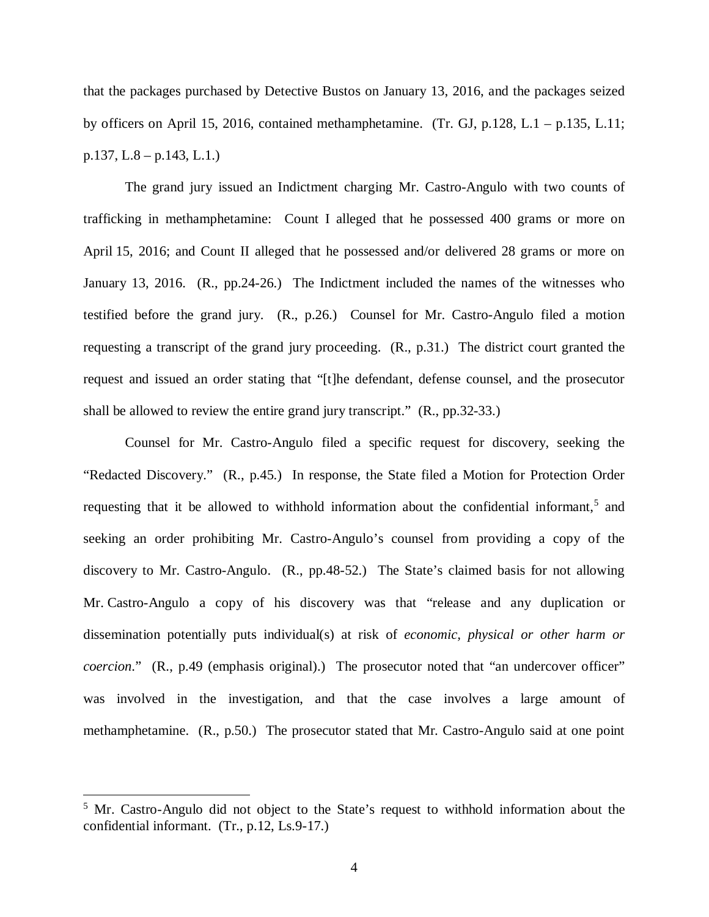that the packages purchased by Detective Bustos on January 13, 2016, and the packages seized by officers on April 15, 2016, contained methamphetamine. (Tr. GJ, p.128, L.1 – p.135, L.11; p.137, L.8 – p.143, L.1.)

The grand jury issued an Indictment charging Mr. Castro-Angulo with two counts of trafficking in methamphetamine: Count I alleged that he possessed 400 grams or more on April 15, 2016; and Count II alleged that he possessed and/or delivered 28 grams or more on January 13, 2016. (R., pp.24-26.) The Indictment included the names of the witnesses who testified before the grand jury. (R., p.26.) Counsel for Mr. Castro-Angulo filed a motion requesting a transcript of the grand jury proceeding. (R., p.31.) The district court granted the request and issued an order stating that "[t]he defendant, defense counsel, and the prosecutor shall be allowed to review the entire grand jury transcript." (R., pp.32-33.)

Counsel for Mr. Castro-Angulo filed a specific request for discovery, seeking the "Redacted Discovery." (R., p.45.) In response, the State filed a Motion for Protection Order requesting that it be allowed to withhold information about the confidential informant,<sup>[5](#page-9-0)</sup> and seeking an order prohibiting Mr. Castro-Angulo's counsel from providing a copy of the discovery to Mr. Castro-Angulo. (R., pp.48-52.) The State's claimed basis for not allowing Mr. Castro-Angulo a copy of his discovery was that "release and any duplication or dissemination potentially puts individual(s) at risk of *economic, physical or other harm or coercion.*" (R., p.49 (emphasis original).) The prosecutor noted that "an undercover officer" was involved in the investigation, and that the case involves a large amount of methamphetamine. (R., p.50.) The prosecutor stated that Mr. Castro-Angulo said at one point

<span id="page-9-0"></span><sup>&</sup>lt;sup>5</sup> Mr. Castro-Angulo did not object to the State's request to withhold information about the confidential informant. (Tr., p.12, Ls.9-17.)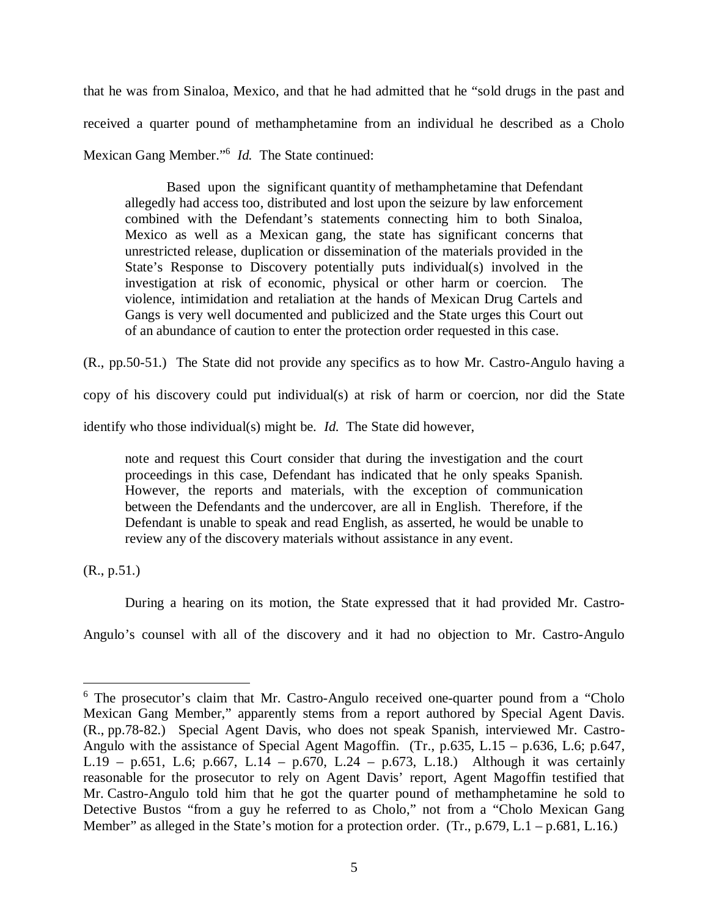that he was from Sinaloa, Mexico, and that he had admitted that he "sold drugs in the past and received a quarter pound of methamphetamine from an individual he described as a Cholo Mexican Gang Member."[6](#page-10-0) *Id.* The State continued:

Based upon the significant quantity of methamphetamine that Defendant allegedly had access too, distributed and lost upon the seizure by law enforcement combined with the Defendant's statements connecting him to both Sinaloa, Mexico as well as a Mexican gang, the state has significant concerns that unrestricted release, duplication or dissemination of the materials provided in the State's Response to Discovery potentially puts individual(s) involved in the investigation at risk of economic, physical or other harm or coercion. The violence, intimidation and retaliation at the hands of Mexican Drug Cartels and Gangs is very well documented and publicized and the State urges this Court out of an abundance of caution to enter the protection order requested in this case.

(R., pp.50-51.) The State did not provide any specifics as to how Mr. Castro-Angulo having a

copy of his discovery could put individual(s) at risk of harm or coercion, nor did the State

identify who those individual(s) might be. *Id.* The State did however,

note and request this Court consider that during the investigation and the court proceedings in this case, Defendant has indicated that he only speaks Spanish. However, the reports and materials, with the exception of communication between the Defendants and the undercover, are all in English. Therefore, if the Defendant is unable to speak and read English, as asserted, he would be unable to review any of the discovery materials without assistance in any event.

(R., p.51.)

During a hearing on its motion, the State expressed that it had provided Mr. Castro-

Angulo's counsel with all of the discovery and it had no objection to Mr. Castro-Angulo

<span id="page-10-0"></span><sup>&</sup>lt;sup>6</sup> The prosecutor's claim that Mr. Castro-Angulo received one-quarter pound from a "Cholo Mexican Gang Member," apparently stems from a report authored by Special Agent Davis. (R., pp.78-82.) Special Agent Davis, who does not speak Spanish, interviewed Mr. Castro-Angulo with the assistance of Special Agent Magoffin. (Tr., p.635, L.15 – p.636, L.6; p.647, L.19 – p.651, L.6; p.667, L.14 – p.670, L.24 – p.673, L.18.) Although it was certainly reasonable for the prosecutor to rely on Agent Davis' report, Agent Magoffin testified that Mr. Castro-Angulo told him that he got the quarter pound of methamphetamine he sold to Detective Bustos "from a guy he referred to as Cholo," not from a "Cholo Mexican Gang Member" as alleged in the State's motion for a protection order. (Tr., p.679, L.1 – p.681, L.16.)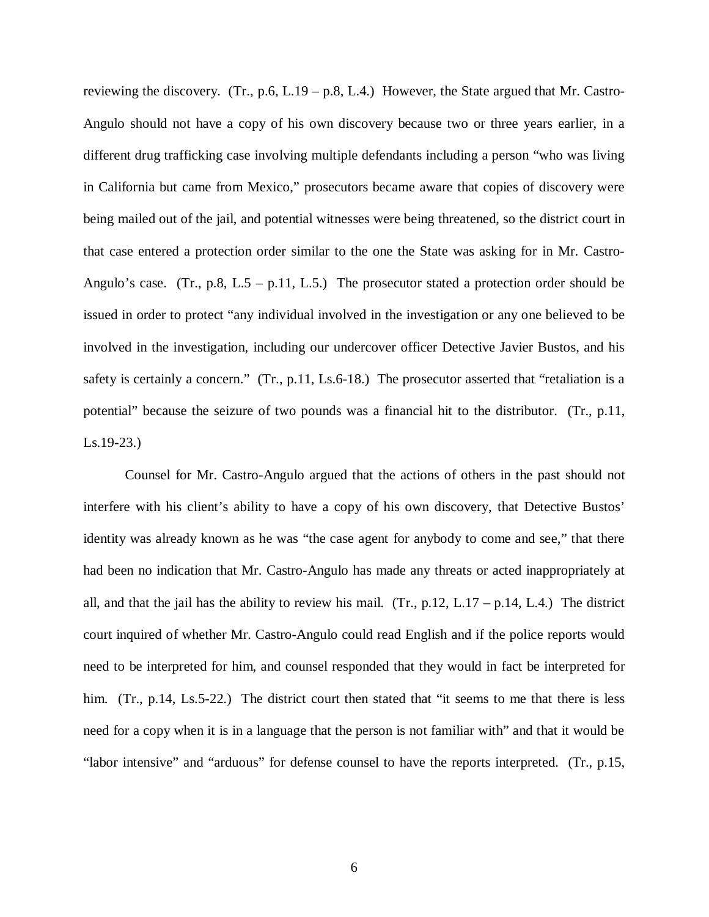reviewing the discovery. (Tr., p.6, L.19 – p.8, L.4.) However, the State argued that Mr. Castro-Angulo should not have a copy of his own discovery because two or three years earlier, in a different drug trafficking case involving multiple defendants including a person "who was living in California but came from Mexico," prosecutors became aware that copies of discovery were being mailed out of the jail, and potential witnesses were being threatened, so the district court in that case entered a protection order similar to the one the State was asking for in Mr. Castro-Angulo's case. (Tr., p.8, L.5 – p.11, L.5.) The prosecutor stated a protection order should be issued in order to protect "any individual involved in the investigation or any one believed to be involved in the investigation, including our undercover officer Detective Javier Bustos, and his safety is certainly a concern." (Tr., p.11, Ls.6-18.) The prosecutor asserted that "retaliation is a potential" because the seizure of two pounds was a financial hit to the distributor. (Tr., p.11, Ls.19-23.)

Counsel for Mr. Castro-Angulo argued that the actions of others in the past should not interfere with his client's ability to have a copy of his own discovery, that Detective Bustos' identity was already known as he was "the case agent for anybody to come and see," that there had been no indication that Mr. Castro-Angulo has made any threats or acted inappropriately at all, and that the jail has the ability to review his mail.  $(Tr, p.12, L.17 - p.14, L.4)$  The district court inquired of whether Mr. Castro-Angulo could read English and if the police reports would need to be interpreted for him, and counsel responded that they would in fact be interpreted for him. (Tr., p.14, Ls.5-22.) The district court then stated that "it seems to me that there is less need for a copy when it is in a language that the person is not familiar with" and that it would be "labor intensive" and "arduous" for defense counsel to have the reports interpreted. (Tr., p.15,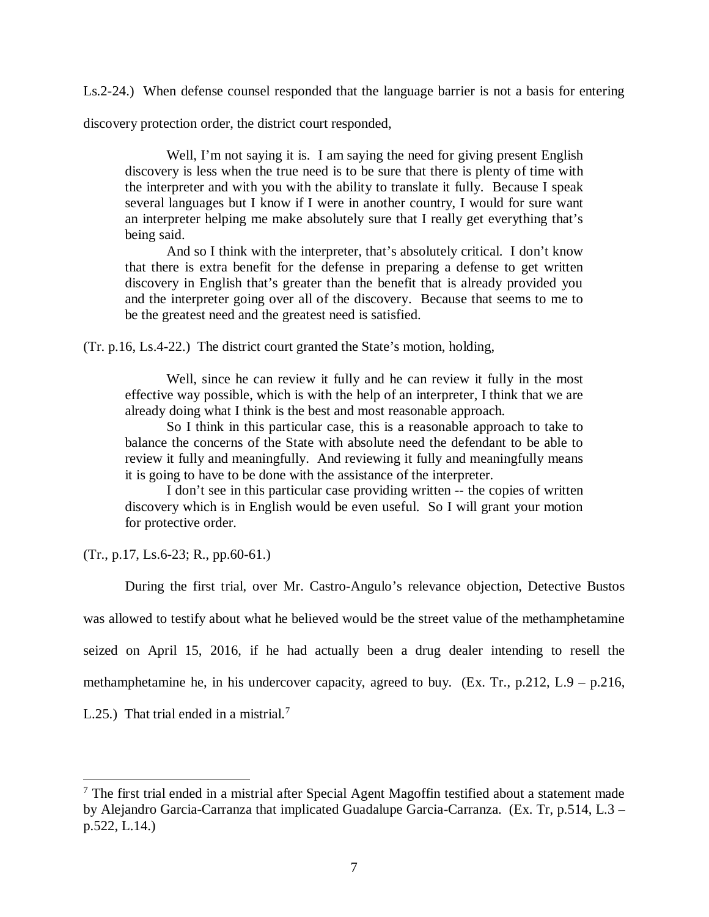Ls.2-24.) When defense counsel responded that the language barrier is not a basis for entering

discovery protection order, the district court responded,

Well, I'm not saying it is. I am saying the need for giving present English discovery is less when the true need is to be sure that there is plenty of time with the interpreter and with you with the ability to translate it fully. Because I speak several languages but I know if I were in another country, I would for sure want an interpreter helping me make absolutely sure that I really get everything that's being said.

And so I think with the interpreter, that's absolutely critical. I don't know that there is extra benefit for the defense in preparing a defense to get written discovery in English that's greater than the benefit that is already provided you and the interpreter going over all of the discovery. Because that seems to me to be the greatest need and the greatest need is satisfied.

(Tr. p.16, Ls.4-22.) The district court granted the State's motion, holding,

Well, since he can review it fully and he can review it fully in the most effective way possible, which is with the help of an interpreter, I think that we are already doing what I think is the best and most reasonable approach.

So I think in this particular case, this is a reasonable approach to take to balance the concerns of the State with absolute need the defendant to be able to review it fully and meaningfully. And reviewing it fully and meaningfully means it is going to have to be done with the assistance of the interpreter.

I don't see in this particular case providing written -- the copies of written discovery which is in English would be even useful. So I will grant your motion for protective order.

(Tr., p.17, Ls.6-23; R., pp.60-61.)

During the first trial, over Mr. Castro-Angulo's relevance objection, Detective Bustos was allowed to testify about what he believed would be the street value of the methamphetamine seized on April 15, 2016, if he had actually been a drug dealer intending to resell the methamphetamine he, in his undercover capacity, agreed to buy. (Ex. Tr., p.212, L.9 – p.216,

L.25.) That trial ended in a mistrial.<sup>[7](#page-12-0)</sup>

<span id="page-12-0"></span> $<sup>7</sup>$  The first trial ended in a mistrial after Special Agent Magoffin testified about a statement made</sup> by Alejandro Garcia-Carranza that implicated Guadalupe Garcia-Carranza. (Ex. Tr, p.514, L.3 – p.522, L.14.)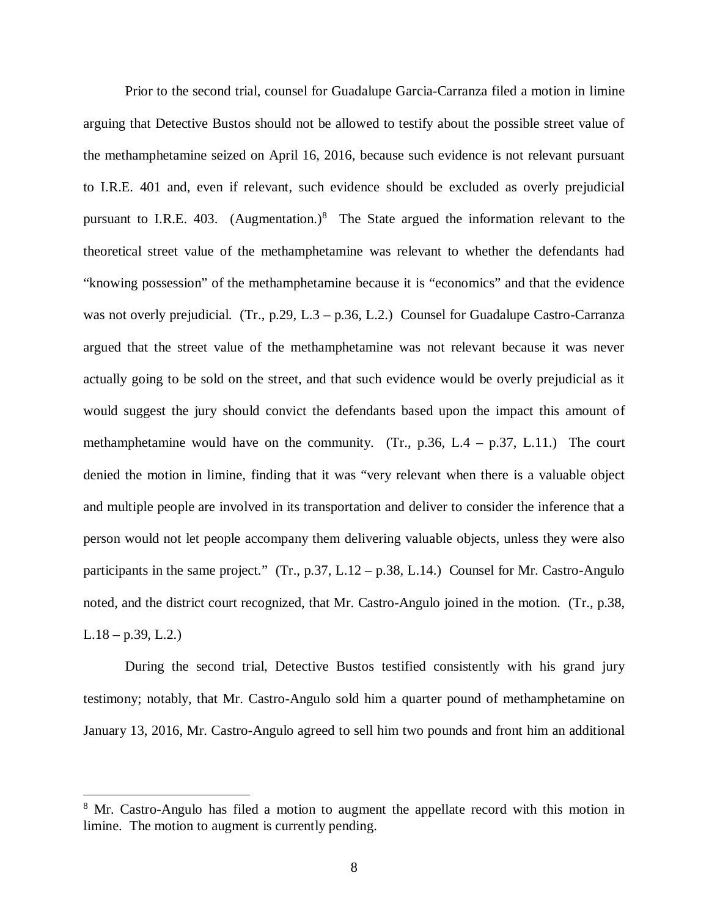Prior to the second trial, counsel for Guadalupe Garcia-Carranza filed a motion in limine arguing that Detective Bustos should not be allowed to testify about the possible street value of the methamphetamine seized on April 16, 2016, because such evidence is not relevant pursuant to I.R.E. 401 and, even if relevant, such evidence should be excluded as overly prejudicial pursuant to I.R.E. 403. (Augmentation.) $8$  The State argued the information relevant to the theoretical street value of the methamphetamine was relevant to whether the defendants had "knowing possession" of the methamphetamine because it is "economics" and that the evidence was not overly prejudicial. (Tr., p.29, L.3 – p.36, L.2.) Counsel for Guadalupe Castro-Carranza argued that the street value of the methamphetamine was not relevant because it was never actually going to be sold on the street, and that such evidence would be overly prejudicial as it would suggest the jury should convict the defendants based upon the impact this amount of methamphetamine would have on the community. (Tr., p.36, L.4 – p.37, L.11.) The court denied the motion in limine, finding that it was "very relevant when there is a valuable object and multiple people are involved in its transportation and deliver to consider the inference that a person would not let people accompany them delivering valuable objects, unless they were also participants in the same project." (Tr., p.37, L.12 – p.38, L.14.) Counsel for Mr. Castro-Angulo noted, and the district court recognized, that Mr. Castro-Angulo joined in the motion. (Tr., p.38,  $L.18 - p.39, L.2.$ 

During the second trial, Detective Bustos testified consistently with his grand jury testimony; notably, that Mr. Castro-Angulo sold him a quarter pound of methamphetamine on January 13, 2016, Mr. Castro-Angulo agreed to sell him two pounds and front him an additional

<span id="page-13-0"></span><sup>&</sup>lt;sup>8</sup> Mr. Castro-Angulo has filed a motion to augment the appellate record with this motion in limine. The motion to augment is currently pending.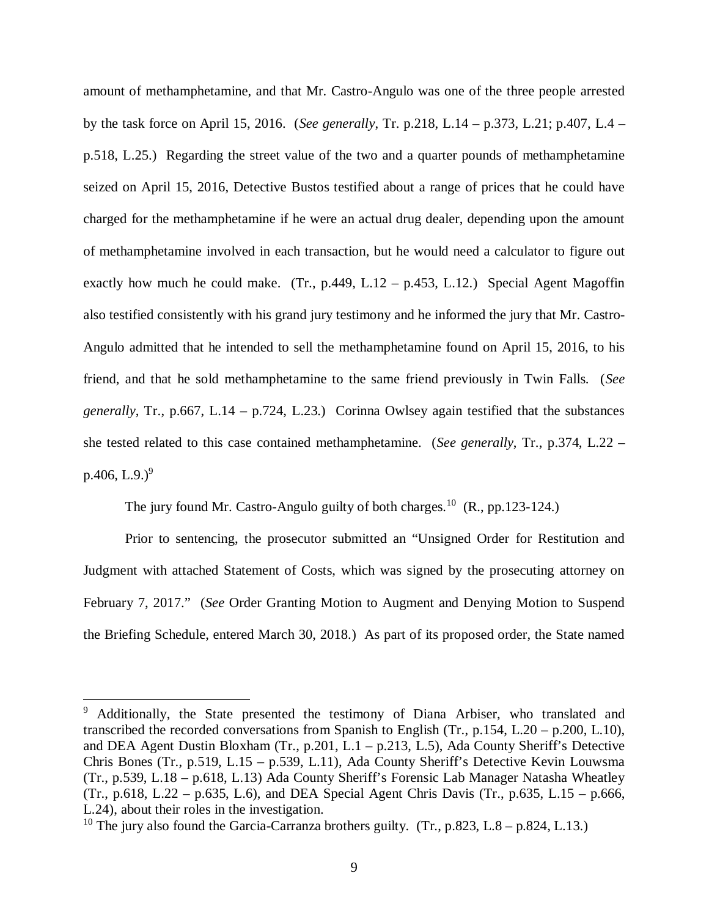amount of methamphetamine, and that Mr. Castro-Angulo was one of the three people arrested by the task force on April 15, 2016. (*See generally*, Tr. p.218, L.14 – p.373, L.21; p.407, L.4 – p.518, L.25.) Regarding the street value of the two and a quarter pounds of methamphetamine seized on April 15, 2016, Detective Bustos testified about a range of prices that he could have charged for the methamphetamine if he were an actual drug dealer, depending upon the amount of methamphetamine involved in each transaction, but he would need a calculator to figure out exactly how much he could make. (Tr., p.449, L.12 – p.453, L.12.) Special Agent Magoffin also testified consistently with his grand jury testimony and he informed the jury that Mr. Castro-Angulo admitted that he intended to sell the methamphetamine found on April 15, 2016, to his friend, and that he sold methamphetamine to the same friend previously in Twin Falls. (*See generally*, Tr., p.667, L.14 – p.724, L.23.) Corinna Owlsey again testified that the substances she tested related to this case contained methamphetamine. (*See generally*, Tr., p.374, L.22 – p.406, L.[9](#page-14-0).)<sup>9</sup>

The jury found Mr. Castro-Angulo guilty of both charges.<sup>[10](#page-14-1)</sup> (R., pp.123-124.)

Prior to sentencing, the prosecutor submitted an "Unsigned Order for Restitution and Judgment with attached Statement of Costs, which was signed by the prosecuting attorney on February 7, 2017." (*See* Order Granting Motion to Augment and Denying Motion to Suspend the Briefing Schedule, entered March 30, 2018.) As part of its proposed order, the State named

<span id="page-14-0"></span><sup>&</sup>lt;sup>9</sup> Additionally, the State presented the testimony of Diana Arbiser, who translated and transcribed the recorded conversations from Spanish to English (Tr., p.154, L.20 – p.200, L.10), and DEA Agent Dustin Bloxham (Tr., p.201, L.1 – p.213, L.5), Ada County Sheriff's Detective Chris Bones (Tr., p.519, L.15 – p.539, L.11), Ada County Sheriff's Detective Kevin Louwsma (Tr., p.539, L.18 – p.618, L.13) Ada County Sheriff's Forensic Lab Manager Natasha Wheatley (Tr., p.618, L.22 – p.635, L.6), and DEA Special Agent Chris Davis (Tr., p.635, L.15 – p.666, L.24), about their roles in the investigation.

<span id="page-14-1"></span><sup>&</sup>lt;sup>10</sup> The jury also found the Garcia-Carranza brothers guilty. (Tr., p.823, L.8 – p.824, L.13.)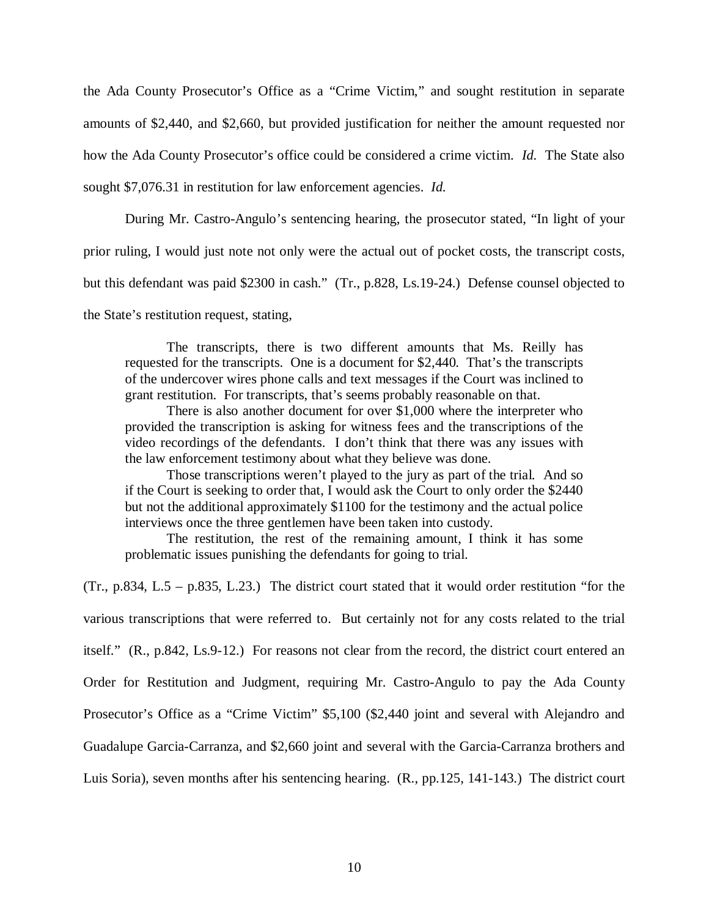the Ada County Prosecutor's Office as a "Crime Victim," and sought restitution in separate amounts of \$2,440, and \$2,660, but provided justification for neither the amount requested nor how the Ada County Prosecutor's office could be considered a crime victim. *Id.* The State also sought \$7,076.31 in restitution for law enforcement agencies. *Id.*

During Mr. Castro-Angulo's sentencing hearing, the prosecutor stated, "In light of your prior ruling, I would just note not only were the actual out of pocket costs, the transcript costs, but this defendant was paid \$2300 in cash." (Tr., p.828, Ls.19-24.) Defense counsel objected to the State's restitution request, stating,

The transcripts, there is two different amounts that Ms. Reilly has requested for the transcripts. One is a document for \$2,440. That's the transcripts of the undercover wires phone calls and text messages if the Court was inclined to grant restitution. For transcripts, that's seems probably reasonable on that.

There is also another document for over \$1,000 where the interpreter who provided the transcription is asking for witness fees and the transcriptions of the video recordings of the defendants. I don't think that there was any issues with the law enforcement testimony about what they believe was done.

Those transcriptions weren't played to the jury as part of the trial. And so if the Court is seeking to order that, I would ask the Court to only order the \$2440 but not the additional approximately \$1100 for the testimony and the actual police interviews once the three gentlemen have been taken into custody.

The restitution, the rest of the remaining amount, I think it has some problematic issues punishing the defendants for going to trial.

(Tr., p.834, L.5 – p.835, L.23.) The district court stated that it would order restitution "for the various transcriptions that were referred to. But certainly not for any costs related to the trial itself." (R., p.842, Ls.9-12.) For reasons not clear from the record, the district court entered an Order for Restitution and Judgment, requiring Mr. Castro-Angulo to pay the Ada County Prosecutor's Office as a "Crime Victim" \$5,100 (\$2,440 joint and several with Alejandro and Guadalupe Garcia-Carranza, and \$2,660 joint and several with the Garcia-Carranza brothers and Luis Soria), seven months after his sentencing hearing. (R., pp.125, 141-143.) The district court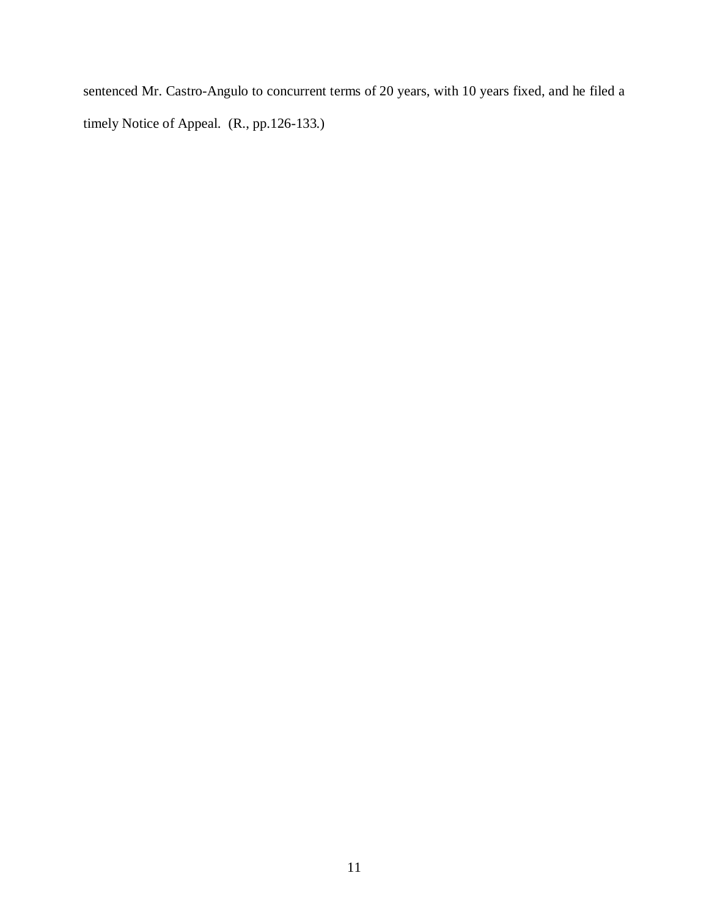sentenced Mr. Castro-Angulo to concurrent terms of 20 years, with 10 years fixed, and he filed a timely Notice of Appeal. (R., pp.126-133.)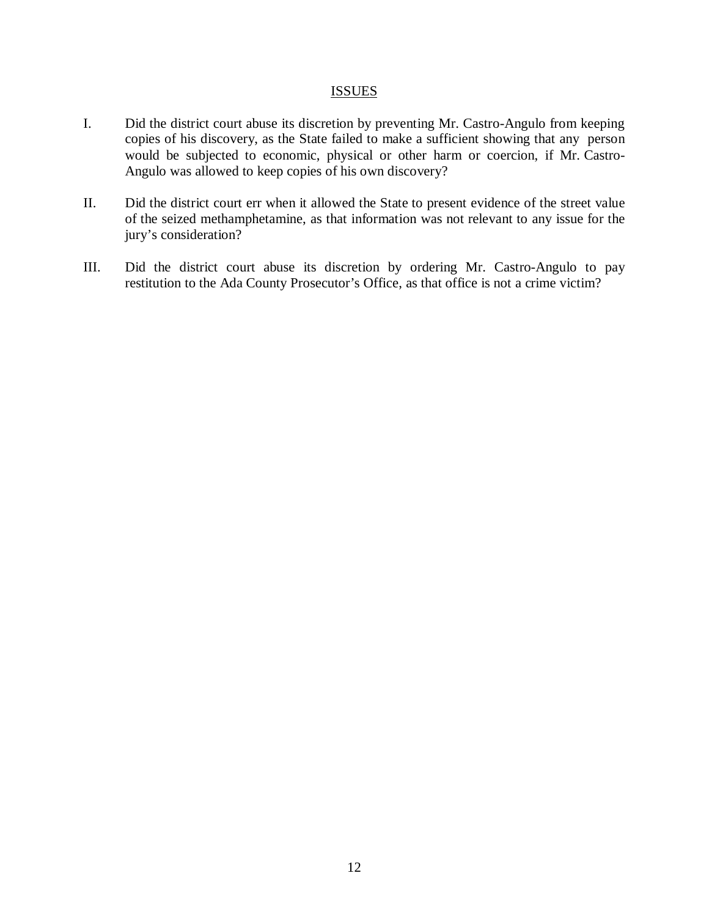#### **ISSUES**

- I. Did the district court abuse its discretion by preventing Mr. Castro-Angulo from keeping copies of his discovery, as the State failed to make a sufficient showing that any person would be subjected to economic, physical or other harm or coercion, if Mr. Castro-Angulo was allowed to keep copies of his own discovery?
- II. Did the district court err when it allowed the State to present evidence of the street value of the seized methamphetamine, as that information was not relevant to any issue for the jury's consideration?
- III. Did the district court abuse its discretion by ordering Mr. Castro-Angulo to pay restitution to the Ada County Prosecutor's Office, as that office is not a crime victim?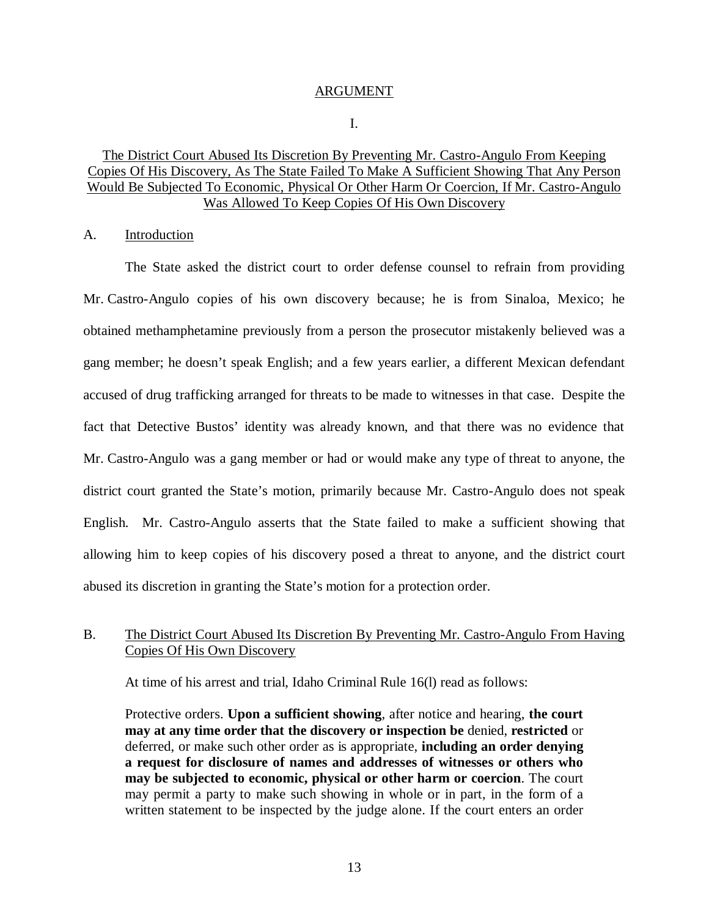#### ARGUMENT

I.

### The District Court Abused Its Discretion By Preventing Mr. Castro-Angulo From Keeping Copies Of His Discovery, As The State Failed To Make A Sufficient Showing That Any Person Would Be Subjected To Economic, Physical Or Other Harm Or Coercion, If Mr. Castro-Angulo Was Allowed To Keep Copies Of His Own Discovery

A. Introduction

The State asked the district court to order defense counsel to refrain from providing Mr. Castro-Angulo copies of his own discovery because; he is from Sinaloa, Mexico; he obtained methamphetamine previously from a person the prosecutor mistakenly believed was a gang member; he doesn't speak English; and a few years earlier, a different Mexican defendant accused of drug trafficking arranged for threats to be made to witnesses in that case. Despite the fact that Detective Bustos' identity was already known, and that there was no evidence that Mr. Castro-Angulo was a gang member or had or would make any type of threat to anyone, the district court granted the State's motion, primarily because Mr. Castro-Angulo does not speak English. Mr. Castro-Angulo asserts that the State failed to make a sufficient showing that allowing him to keep copies of his discovery posed a threat to anyone, and the district court abused its discretion in granting the State's motion for a protection order.

### B. The District Court Abused Its Discretion By Preventing Mr. Castro-Angulo From Having Copies Of His Own Discovery

At time of his arrest and trial, Idaho Criminal Rule 16(l) read as follows:

Protective orders. **Upon a sufficient showing**, after notice and hearing, **the court may at any time order that the discovery or inspection be** denied, **restricted** or deferred, or make such other order as is appropriate, **including an order denying a request for disclosure of names and addresses of witnesses or others who may be subjected to economic, physical or other harm or coercion**. The court may permit a party to make such showing in whole or in part, in the form of a written statement to be inspected by the judge alone. If the court enters an order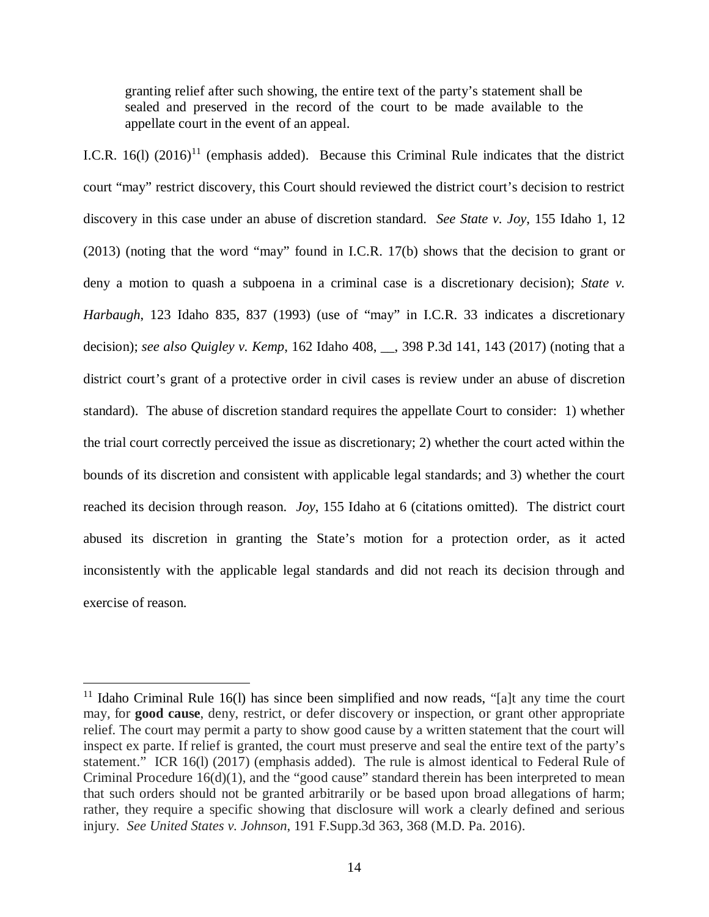granting relief after such showing, the entire text of the party's statement shall be sealed and preserved in the record of the court to be made available to the appellate court in the event of an appeal.

I.C.R. 16(1)  $(2016)^{11}$  $(2016)^{11}$  $(2016)^{11}$  (emphasis added). Because this Criminal Rule indicates that the district court "may" restrict discovery, this Court should reviewed the district court's decision to restrict discovery in this case under an abuse of discretion standard. *See State v. Joy*, 155 Idaho 1, 12 (2013) (noting that the word "may" found in I.C.R. 17(b) shows that the decision to grant or deny a motion to quash a subpoena in a criminal case is a discretionary decision); *State v. Harbaugh*, 123 Idaho 835, 837 (1993) (use of "may" in I.C.R. 33 indicates a discretionary decision); *see also Quigley v. Kemp*, 162 Idaho 408, \_\_, 398 P.3d 141, 143 (2017) (noting that a district court's grant of a protective order in civil cases is review under an abuse of discretion standard). The abuse of discretion standard requires the appellate Court to consider: 1) whether the trial court correctly perceived the issue as discretionary; 2) whether the court acted within the bounds of its discretion and consistent with applicable legal standards; and 3) whether the court reached its decision through reason. *Joy*, 155 Idaho at 6 (citations omitted). The district court abused its discretion in granting the State's motion for a protection order, as it acted inconsistently with the applicable legal standards and did not reach its decision through and exercise of reason.

<span id="page-19-0"></span><sup>&</sup>lt;sup>11</sup> Idaho Criminal Rule 16(1) has since been simplified and now reads, "[a]t any time the court may, for **good cause**, deny, restrict, or defer discovery or inspection, or grant other appropriate relief. The court may permit a party to show good cause by a written statement that the court will inspect ex parte. If relief is granted, the court must preserve and seal the entire text of the party's statement." ICR 16(l) (2017) (emphasis added). The rule is almost identical to Federal Rule of Criminal Procedure 16(d)(1), and the "good cause" standard therein has been interpreted to mean that such orders should not be granted arbitrarily or be based upon broad allegations of harm; rather, they require a specific showing that disclosure will work a clearly defined and serious injury. *See United States v. Johnson*, 191 F.Supp.3d 363, 368 (M.D. Pa. 2016).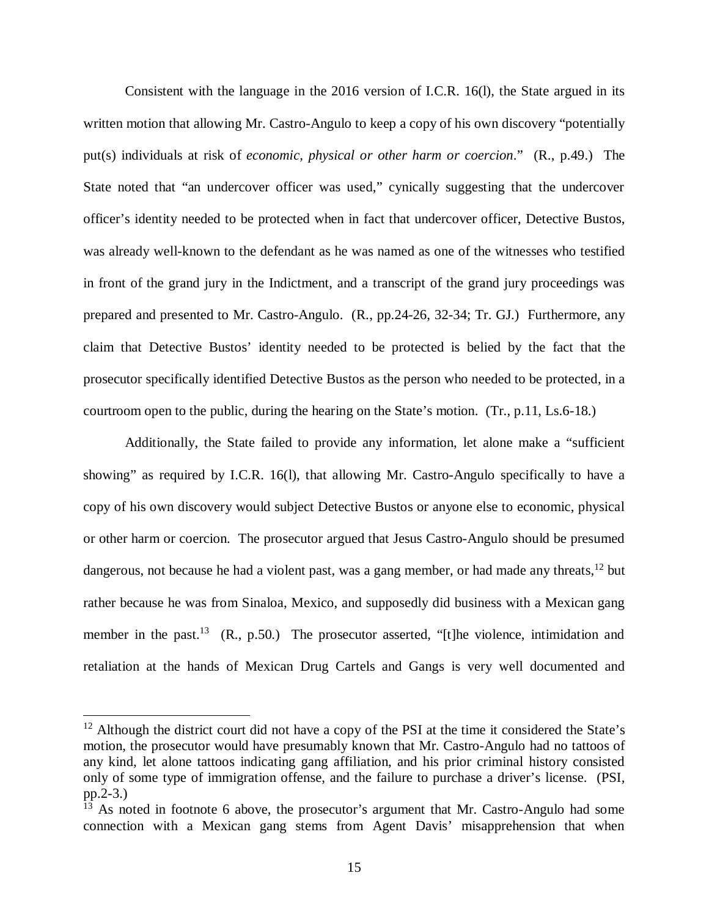Consistent with the language in the 2016 version of I.C.R. 16(l), the State argued in its written motion that allowing Mr. Castro-Angulo to keep a copy of his own discovery "potentially put(s) individuals at risk of *economic, physical or other harm or coercion*." (R., p.49.) The State noted that "an undercover officer was used," cynically suggesting that the undercover officer's identity needed to be protected when in fact that undercover officer, Detective Bustos, was already well-known to the defendant as he was named as one of the witnesses who testified in front of the grand jury in the Indictment, and a transcript of the grand jury proceedings was prepared and presented to Mr. Castro-Angulo. (R., pp.24-26, 32-34; Tr. GJ.) Furthermore, any claim that Detective Bustos' identity needed to be protected is belied by the fact that the prosecutor specifically identified Detective Bustos as the person who needed to be protected, in a courtroom open to the public, during the hearing on the State's motion. (Tr., p.11, Ls.6-18.)

Additionally, the State failed to provide any information, let alone make a "sufficient showing" as required by I.C.R. 16(l), that allowing Mr. Castro-Angulo specifically to have a copy of his own discovery would subject Detective Bustos or anyone else to economic, physical or other harm or coercion. The prosecutor argued that Jesus Castro-Angulo should be presumed dangerous, not because he had a violent past, was a gang member, or had made any threats, $12$  but rather because he was from Sinaloa, Mexico, and supposedly did business with a Mexican gang member in the past.<sup>[13](#page-20-1)</sup> (R., p.50.) The prosecutor asserted, "[t]he violence, intimidation and retaliation at the hands of Mexican Drug Cartels and Gangs is very well documented and

<span id="page-20-0"></span> $12$  Although the district court did not have a copy of the PSI at the time it considered the State's motion, the prosecutor would have presumably known that Mr. Castro-Angulo had no tattoos of any kind, let alone tattoos indicating gang affiliation, and his prior criminal history consisted only of some type of immigration offense, and the failure to purchase a driver's license. (PSI, pp.2-3.)

<span id="page-20-1"></span><sup>&</sup>lt;sup>13</sup> As noted in footnote 6 above, the prosecutor's argument that Mr. Castro-Angulo had some connection with a Mexican gang stems from Agent Davis' misapprehension that when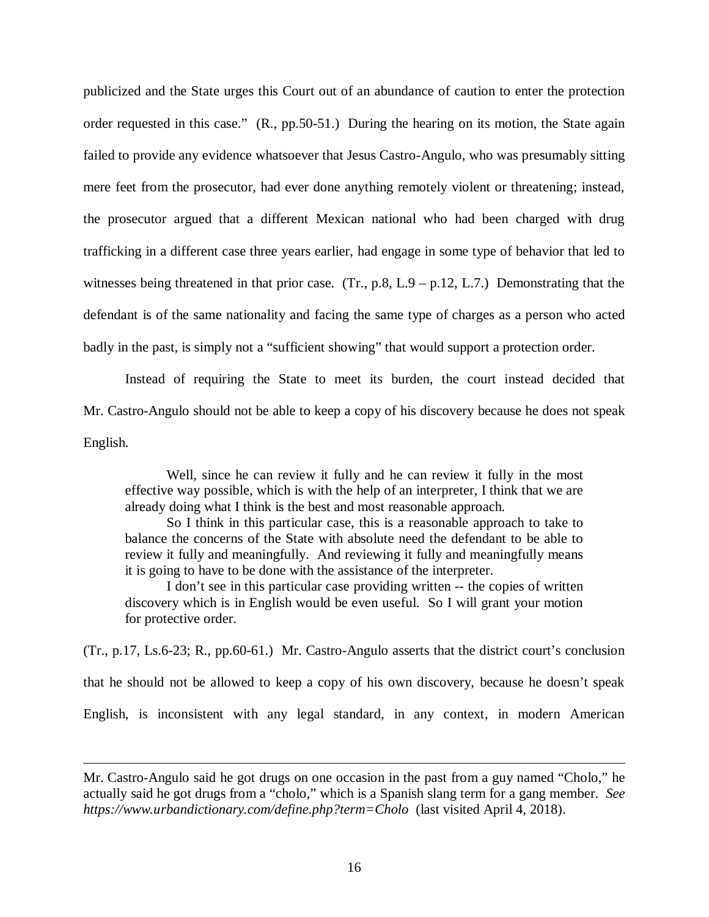publicized and the State urges this Court out of an abundance of caution to enter the protection order requested in this case." (R., pp.50-51.) During the hearing on its motion, the State again failed to provide any evidence whatsoever that Jesus Castro-Angulo, who was presumably sitting mere feet from the prosecutor, had ever done anything remotely violent or threatening; instead, the prosecutor argued that a different Mexican national who had been charged with drug trafficking in a different case three years earlier, had engage in some type of behavior that led to witnesses being threatened in that prior case. (Tr., p.8, L.9 – p.12, L.7.) Demonstrating that the defendant is of the same nationality and facing the same type of charges as a person who acted badly in the past, is simply not a "sufficient showing" that would support a protection order.

Instead of requiring the State to meet its burden, the court instead decided that Mr. Castro-Angulo should not be able to keep a copy of his discovery because he does not speak English.

Well, since he can review it fully and he can review it fully in the most effective way possible, which is with the help of an interpreter, I think that we are already doing what I think is the best and most reasonable approach.

So I think in this particular case, this is a reasonable approach to take to balance the concerns of the State with absolute need the defendant to be able to review it fully and meaningfully. And reviewing it fully and meaningfully means it is going to have to be done with the assistance of the interpreter.

I don't see in this particular case providing written -- the copies of written discovery which is in English would be even useful. So I will grant your motion for protective order.

(Tr., p.17, Ls.6-23; R., pp.60-61.) Mr. Castro-Angulo asserts that the district court's conclusion

that he should not be allowed to keep a copy of his own discovery, because he doesn't speak

English, is inconsistent with any legal standard, in any context, in modern American

Mr. Castro-Angulo said he got drugs on one occasion in the past from a guy named "Cholo," he actually said he got drugs from a "cholo," which is a Spanish slang term for a gang member. *See https://www.urbandictionary.com/define.php?term=Cholo* (last visited April 4, 2018).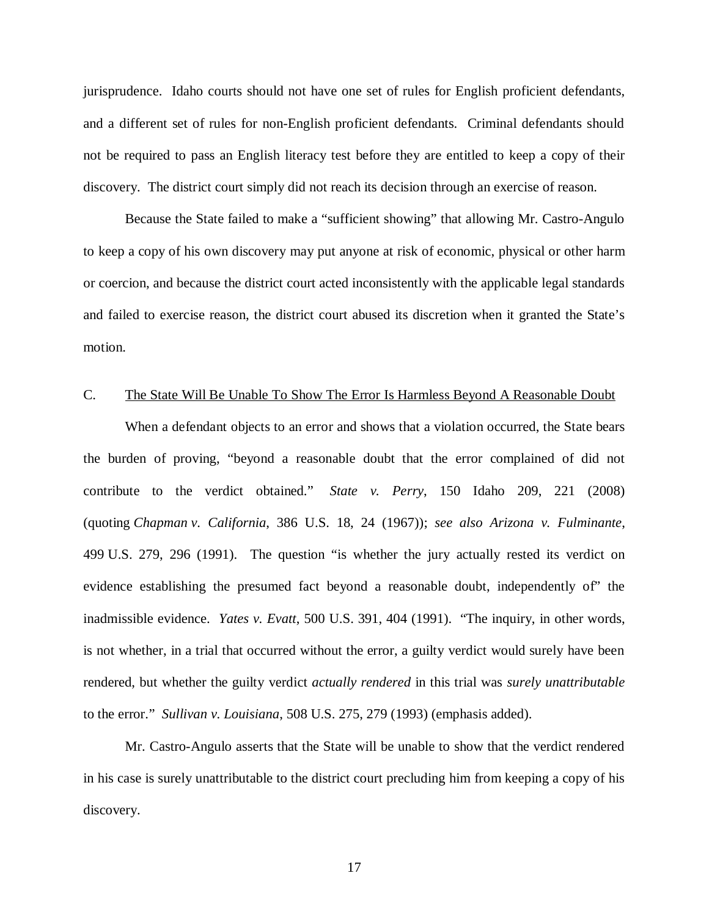jurisprudence. Idaho courts should not have one set of rules for English proficient defendants, and a different set of rules for non-English proficient defendants. Criminal defendants should not be required to pass an English literacy test before they are entitled to keep a copy of their discovery. The district court simply did not reach its decision through an exercise of reason.

Because the State failed to make a "sufficient showing" that allowing Mr. Castro-Angulo to keep a copy of his own discovery may put anyone at risk of economic, physical or other harm or coercion, and because the district court acted inconsistently with the applicable legal standards and failed to exercise reason, the district court abused its discretion when it granted the State's motion.

#### C. The State Will Be Unable To Show The Error Is Harmless Beyond A Reasonable Doubt

When a defendant objects to an error and shows that a violation occurred, the State bears the burden of proving, "beyond a reasonable doubt that the error complained of did not contribute to the verdict obtained." *State v. Perry*, 150 Idaho 209, 221 (2008) (quoting *Chapman v. California*, 386 U.S. 18, 24 (1967)); *see also Arizona v. Fulminante*, 499 U.S. 279, 296 (1991). The question "is whether the jury actually rested its verdict on evidence establishing the presumed fact beyond a reasonable doubt, independently of" the inadmissible evidence. *Yates v. Evatt*, 500 U.S. 391, 404 (1991). "The inquiry, in other words, is not whether, in a trial that occurred without the error, a guilty verdict would surely have been rendered, but whether the guilty verdict *actually rendered* in this trial was *surely unattributable* to the error." *Sullivan v. Louisiana*, 508 U.S. 275, 279 (1993) (emphasis added).

Mr. Castro-Angulo asserts that the State will be unable to show that the verdict rendered in his case is surely unattributable to the district court precluding him from keeping a copy of his discovery.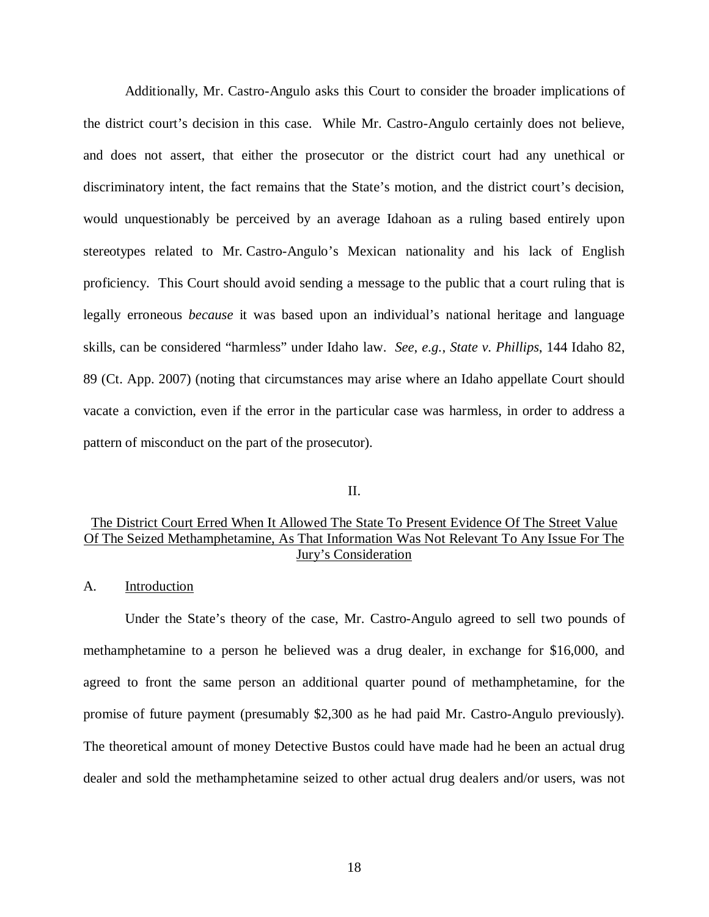Additionally, Mr. Castro-Angulo asks this Court to consider the broader implications of the district court's decision in this case. While Mr. Castro-Angulo certainly does not believe, and does not assert, that either the prosecutor or the district court had any unethical or discriminatory intent, the fact remains that the State's motion, and the district court's decision, would unquestionably be perceived by an average Idahoan as a ruling based entirely upon stereotypes related to Mr. Castro-Angulo's Mexican nationality and his lack of English proficiency. This Court should avoid sending a message to the public that a court ruling that is legally erroneous *because* it was based upon an individual's national heritage and language skills, can be considered "harmless" under Idaho law. *See*, *e.g.*, *State v. Phillips*, 144 Idaho 82, 89 (Ct. App. 2007) (noting that circumstances may arise where an Idaho appellate Court should vacate a conviction, even if the error in the particular case was harmless, in order to address a pattern of misconduct on the part of the prosecutor).

#### II.

# The District Court Erred When It Allowed The State To Present Evidence Of The Street Value Of The Seized Methamphetamine, As That Information Was Not Relevant To Any Issue For The Jury's Consideration

#### A. Introduction

Under the State's theory of the case, Mr. Castro-Angulo agreed to sell two pounds of methamphetamine to a person he believed was a drug dealer, in exchange for \$16,000, and agreed to front the same person an additional quarter pound of methamphetamine, for the promise of future payment (presumably \$2,300 as he had paid Mr. Castro-Angulo previously). The theoretical amount of money Detective Bustos could have made had he been an actual drug dealer and sold the methamphetamine seized to other actual drug dealers and/or users, was not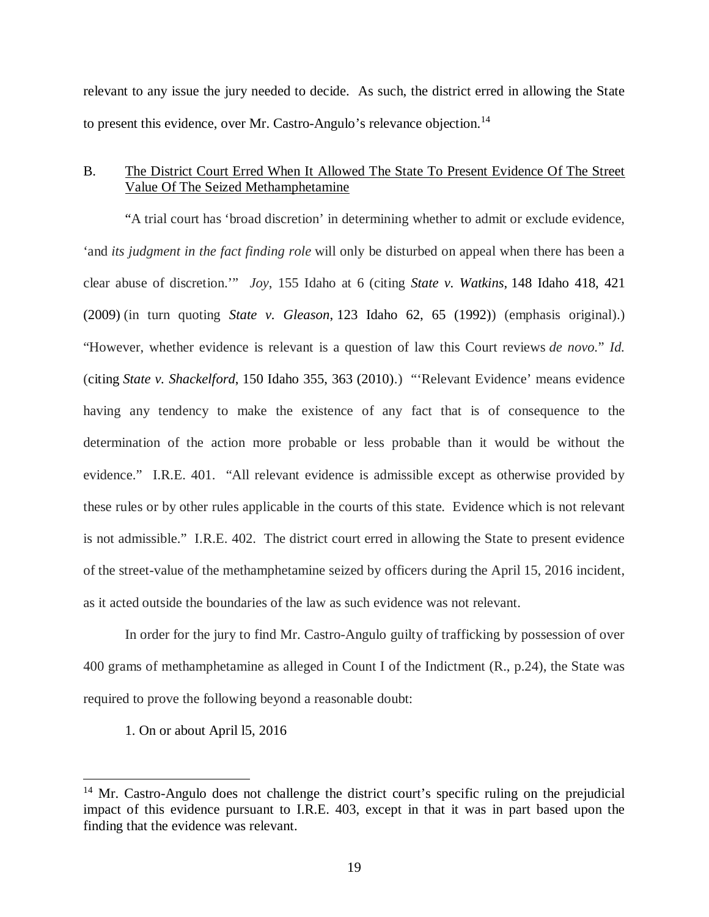relevant to any issue the jury needed to decide. As such, the district erred in allowing the State to present this evidence, over Mr. Castro-Angulo's relevance objection.<sup>[14](#page-24-0)</sup>

### B. The District Court Erred When It Allowed The State To Present Evidence Of The Street Value Of The Seized Methamphetamine

"A trial court has 'broad discretion' in determining whether to admit or exclude evidence, 'and *its judgment in the fact finding role* will only be disturbed on appeal when there has been a clear abuse of discretion.'" *Joy*, 155 Idaho at 6 (citing *State v. Watkins*, 148 Idaho 418, 421 (2009) (in turn quoting *State v. Gleason*, 123 Idaho 62, 65 (1992)) (emphasis original).) "However, whether evidence is relevant is a question of law this Court reviews *de novo.*" *Id.* (citing *State v. Shackelford*, 150 Idaho 355, 363 (2010).) "'Relevant Evidence' means evidence having any tendency to make the existence of any fact that is of consequence to the determination of the action more probable or less probable than it would be without the evidence." I.R.E. 401. "All relevant evidence is admissible except as otherwise provided by these rules or by other rules applicable in the courts of this state. Evidence which is not relevant is not admissible." I.R.E. 402. The district court erred in allowing the State to present evidence of the street-value of the methamphetamine seized by officers during the April 15, 2016 incident, as it acted outside the boundaries of the law as such evidence was not relevant.

In order for the jury to find Mr. Castro-Angulo guilty of trafficking by possession of over 400 grams of methamphetamine as alleged in Count I of the Indictment (R., p.24), the State was required to prove the following beyond a reasonable doubt:

1. On or about April l5, 2016

<span id="page-24-0"></span> $14$  Mr. Castro-Angulo does not challenge the district court's specific ruling on the prejudicial impact of this evidence pursuant to I.R.E. 403, except in that it was in part based upon the finding that the evidence was relevant.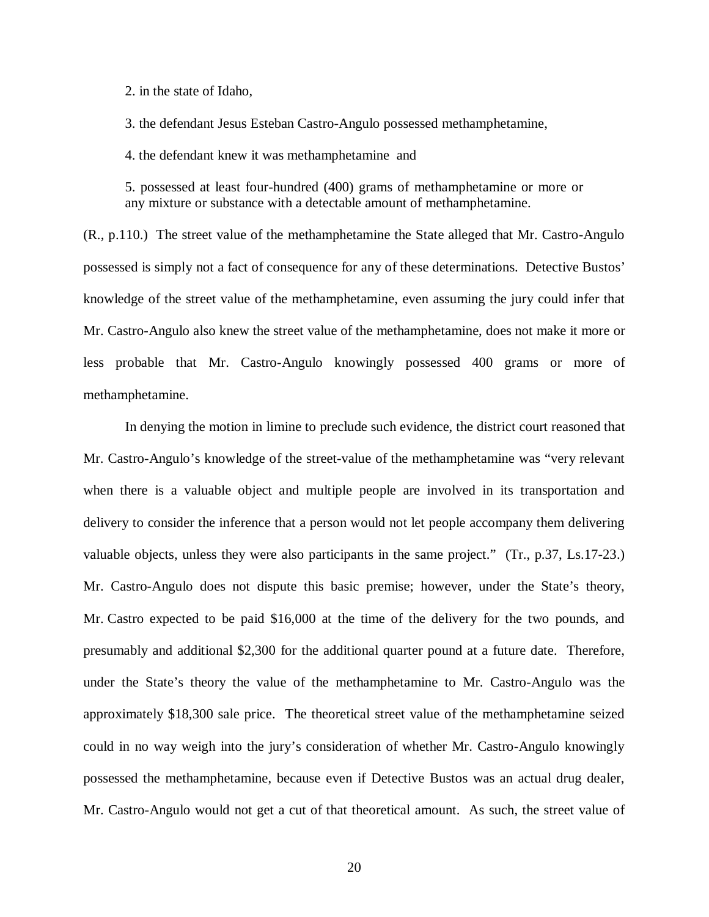2. in the state of Idaho,

3. the defendant Jesus Esteban Castro-Angulo possessed methamphetamine,

4. the defendant knew it was methamphetamine and

5. possessed at least four-hundred (400) grams of methamphetamine or more or any mixture or substance with a detectable amount of methamphetamine.

(R., p.110.) The street value of the methamphetamine the State alleged that Mr. Castro-Angulo possessed is simply not a fact of consequence for any of these determinations. Detective Bustos' knowledge of the street value of the methamphetamine, even assuming the jury could infer that Mr. Castro-Angulo also knew the street value of the methamphetamine, does not make it more or less probable that Mr. Castro-Angulo knowingly possessed 400 grams or more of methamphetamine.

In denying the motion in limine to preclude such evidence, the district court reasoned that Mr. Castro-Angulo's knowledge of the street-value of the methamphetamine was "very relevant when there is a valuable object and multiple people are involved in its transportation and delivery to consider the inference that a person would not let people accompany them delivering valuable objects, unless they were also participants in the same project." (Tr., p.37, Ls.17-23.) Mr. Castro-Angulo does not dispute this basic premise; however, under the State's theory, Mr. Castro expected to be paid \$16,000 at the time of the delivery for the two pounds, and presumably and additional \$2,300 for the additional quarter pound at a future date. Therefore, under the State's theory the value of the methamphetamine to Mr. Castro-Angulo was the approximately \$18,300 sale price. The theoretical street value of the methamphetamine seized could in no way weigh into the jury's consideration of whether Mr. Castro-Angulo knowingly possessed the methamphetamine, because even if Detective Bustos was an actual drug dealer, Mr. Castro-Angulo would not get a cut of that theoretical amount. As such, the street value of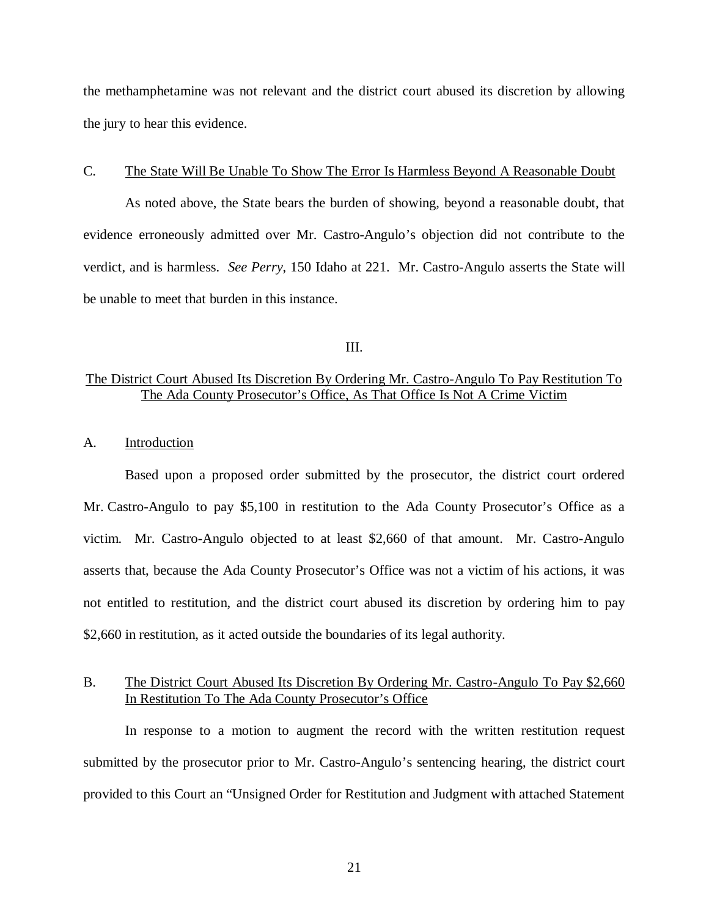the methamphetamine was not relevant and the district court abused its discretion by allowing the jury to hear this evidence.

#### C. The State Will Be Unable To Show The Error Is Harmless Beyond A Reasonable Doubt

As noted above, the State bears the burden of showing, beyond a reasonable doubt, that evidence erroneously admitted over Mr. Castro-Angulo's objection did not contribute to the verdict, and is harmless. *See Perry*, 150 Idaho at 221. Mr. Castro-Angulo asserts the State will be unable to meet that burden in this instance.

III.

### The District Court Abused Its Discretion By Ordering Mr. Castro-Angulo To Pay Restitution To The Ada County Prosecutor's Office, As That Office Is Not A Crime Victim

#### A. Introduction

Based upon a proposed order submitted by the prosecutor, the district court ordered Mr. Castro-Angulo to pay \$5,100 in restitution to the Ada County Prosecutor's Office as a victim. Mr. Castro-Angulo objected to at least \$2,660 of that amount. Mr. Castro-Angulo asserts that, because the Ada County Prosecutor's Office was not a victim of his actions, it was not entitled to restitution, and the district court abused its discretion by ordering him to pay \$2,660 in restitution, as it acted outside the boundaries of its legal authority.

### B. The District Court Abused Its Discretion By Ordering Mr. Castro-Angulo To Pay \$2,660 In Restitution To The Ada County Prosecutor's Office

In response to a motion to augment the record with the written restitution request submitted by the prosecutor prior to Mr. Castro-Angulo's sentencing hearing, the district court provided to this Court an "Unsigned Order for Restitution and Judgment with attached Statement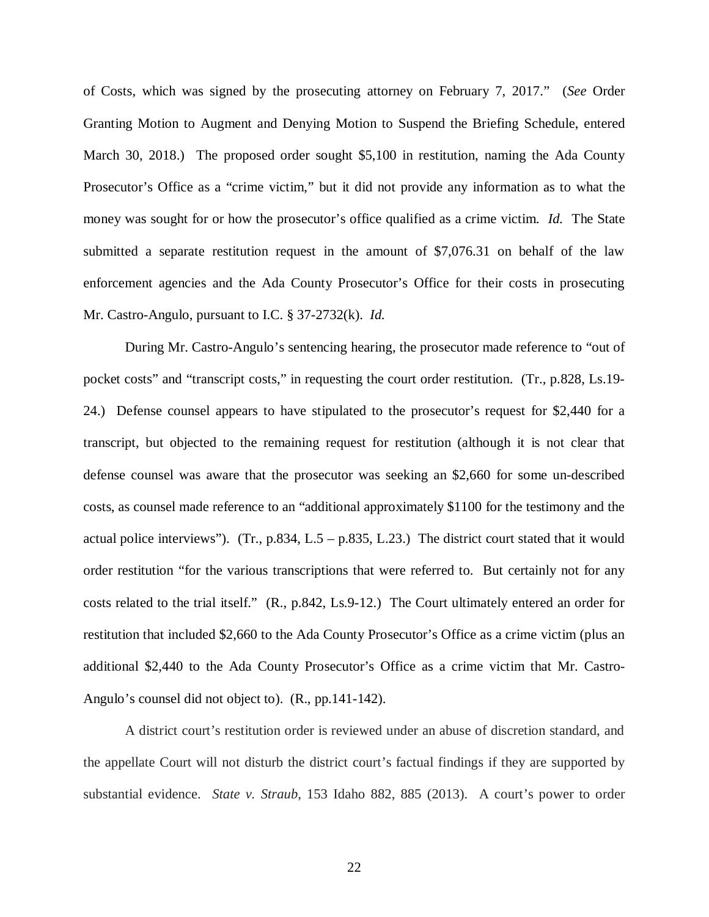of Costs, which was signed by the prosecuting attorney on February 7, 2017." (*See* Order Granting Motion to Augment and Denying Motion to Suspend the Briefing Schedule, entered March 30, 2018.) The proposed order sought \$5,100 in restitution, naming the Ada County Prosecutor's Office as a "crime victim," but it did not provide any information as to what the money was sought for or how the prosecutor's office qualified as a crime victim. *Id.* The State submitted a separate restitution request in the amount of \$7,076.31 on behalf of the law enforcement agencies and the Ada County Prosecutor's Office for their costs in prosecuting Mr. Castro-Angulo, pursuant to I.C. § 37-2732(k). *Id.*

During Mr. Castro-Angulo's sentencing hearing, the prosecutor made reference to "out of pocket costs" and "transcript costs," in requesting the court order restitution. (Tr., p.828, Ls.19- 24.) Defense counsel appears to have stipulated to the prosecutor's request for \$2,440 for a transcript, but objected to the remaining request for restitution (although it is not clear that defense counsel was aware that the prosecutor was seeking an \$2,660 for some un-described costs, as counsel made reference to an "additional approximately \$1100 for the testimony and the actual police interviews"). (Tr., p.834, L.5 – p.835, L.23.) The district court stated that it would order restitution "for the various transcriptions that were referred to. But certainly not for any costs related to the trial itself." (R., p.842, Ls.9-12.) The Court ultimately entered an order for restitution that included \$2,660 to the Ada County Prosecutor's Office as a crime victim (plus an additional \$2,440 to the Ada County Prosecutor's Office as a crime victim that Mr. Castro-Angulo's counsel did not object to). (R., pp.141-142).

A district court's restitution order is reviewed under an abuse of discretion standard, and the appellate Court will not disturb the district court's factual findings if they are supported by substantial evidence. *State v. Straub*, 153 Idaho 882, 885 (2013). A court's power to order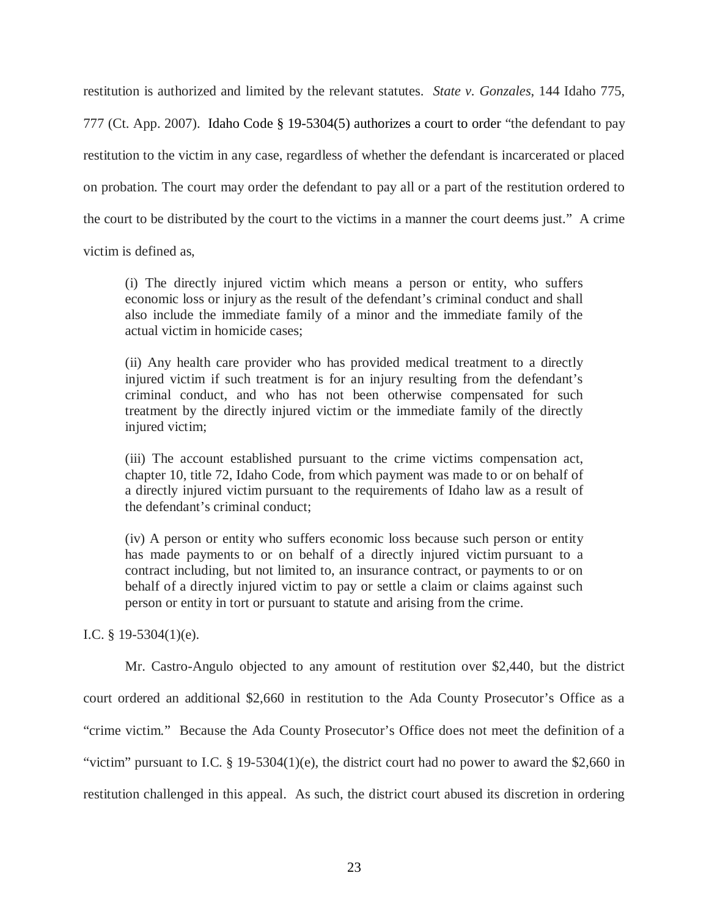restitution is authorized and limited by the relevant statutes. *State v. Gonzales*, 144 Idaho 775, 777 (Ct. App. 2007). Idaho Code § 19-5304(5) authorizes a court to order "the defendant to pay restitution to the victim in any case, regardless of whether the defendant is incarcerated or placed on probation. The court may order the defendant to pay all or a part of the restitution ordered to the court to be distributed by the court to the victims in a manner the court deems just." A crime

victim is defined as,

(i) The directly injured victim which means a person or entity, who suffers economic loss or injury as the result of the defendant's criminal conduct and shall also include the immediate family of a minor and the immediate family of the actual victim in homicide cases;

(ii) Any health care provider who has provided medical treatment to a directly injured victim if such treatment is for an injury resulting from the defendant's criminal conduct, and who has not been otherwise compensated for such treatment by the directly injured victim or the immediate family of the directly injured victim;

(iii) The account established pursuant to the crime victims compensation act, chapter 10, title 72, Idaho Code, from which payment was made to or on behalf of a directly injured victim pursuant to the requirements of Idaho law as a result of the defendant's criminal conduct;

(iv) A person or entity who suffers economic loss because such person or entity has made payments to or on behalf of a directly injured victim pursuant to a contract including, but not limited to, an insurance contract, or payments to or on behalf of a directly injured victim to pay or settle a claim or claims against such person or entity in tort or pursuant to statute and arising from the crime.

I.C. § 19-5304(1)(e).

Mr. Castro-Angulo objected to any amount of restitution over \$2,440, but the district court ordered an additional \$2,660 in restitution to the Ada County Prosecutor's Office as a "crime victim." Because the Ada County Prosecutor's Office does not meet the definition of a "victim" pursuant to I.C.  $\S$  19-5304(1)(e), the district court had no power to award the \$2,660 in restitution challenged in this appeal. As such, the district court abused its discretion in ordering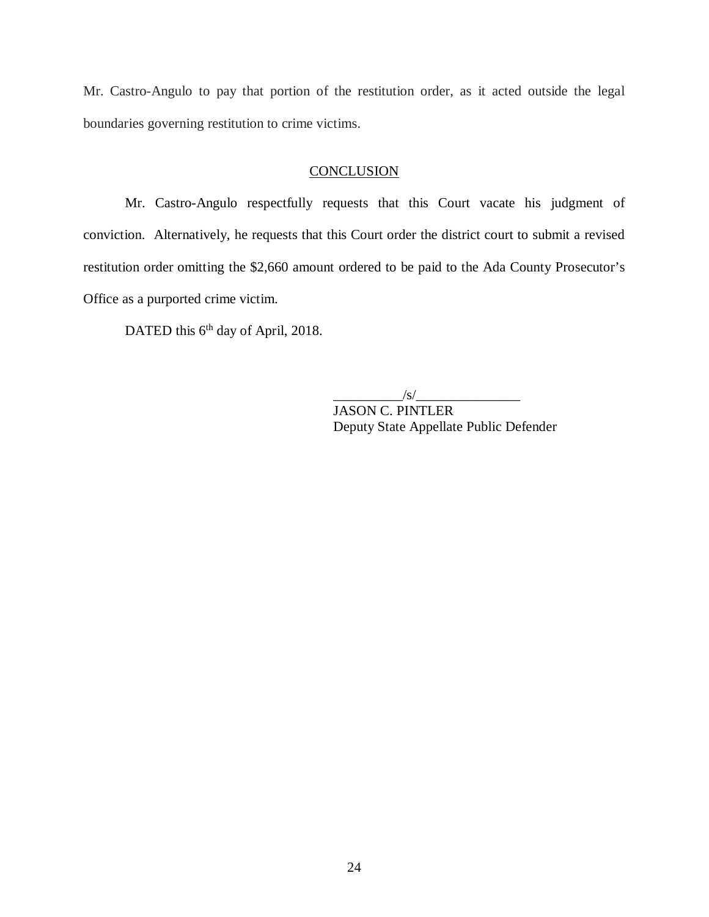Mr. Castro-Angulo to pay that portion of the restitution order, as it acted outside the legal boundaries governing restitution to crime victims.

# **CONCLUSION**

Mr. Castro-Angulo respectfully requests that this Court vacate his judgment of conviction. Alternatively, he requests that this Court order the district court to submit a revised restitution order omitting the \$2,660 amount ordered to be paid to the Ada County Prosecutor's Office as a purported crime victim.

DATED this 6<sup>th</sup> day of April, 2018.

 $\frac{1}{s}$ 

JASON C. PINTLER Deputy State Appellate Public Defender